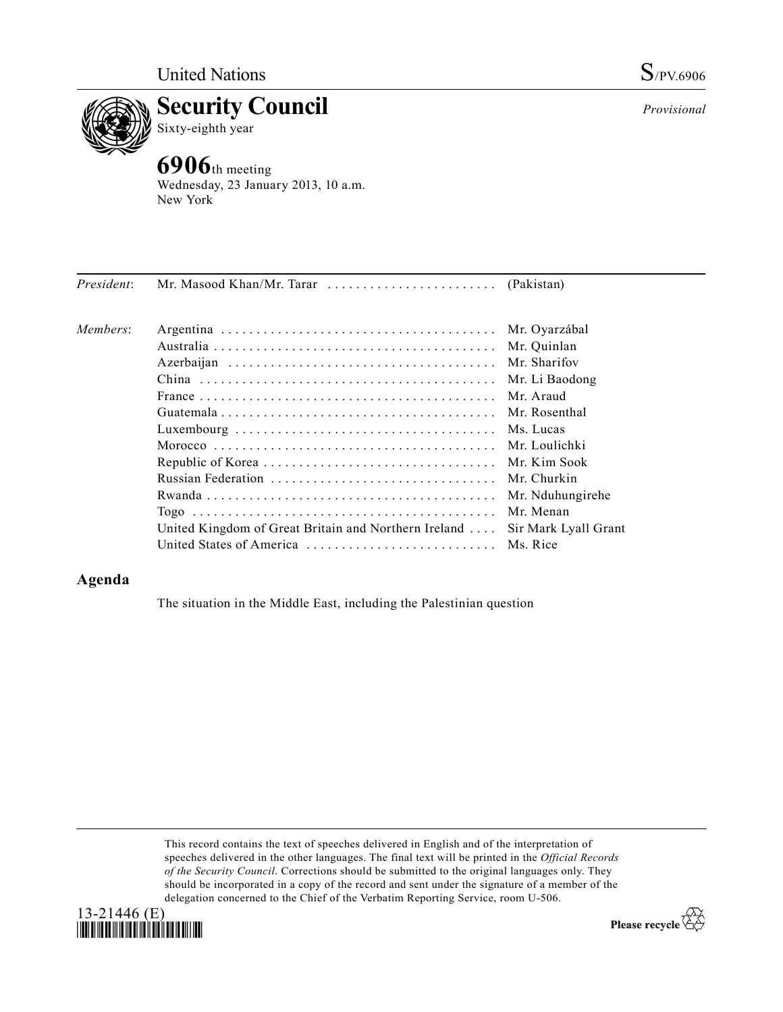



**6906**th meeting Wednesday, 23 January 2013, 10 a.m. New York

| President: |                                                              |                      |
|------------|--------------------------------------------------------------|----------------------|
| Members:   |                                                              | Mr. Oyarzábal        |
|            |                                                              | Mr. Quinlan          |
|            |                                                              |                      |
|            |                                                              | Mr. Li Baodong       |
|            |                                                              | Mr Araud             |
|            |                                                              |                      |
|            |                                                              |                      |
|            |                                                              |                      |
|            |                                                              | Mr. Kim Sook         |
|            |                                                              | Mr. Churkin          |
|            |                                                              | Mr. Nduhungirehe     |
|            |                                                              | Mr. Menan            |
|            | United Kingdom of Great Britain and Northern Ireland $\dots$ | Sir Mark Lyall Grant |
|            | United States of America  Ms. Rice                           |                      |
|            |                                                              |                      |

## **Agenda**

The situation in the Middle East, including the Palestinian question

This record contains the text of speeches delivered in English and of the interpretation of speeches delivered in the other languages. The final text will be printed in the *Official Records of the Security Council*. Corrections should be submitted to the original languages only. They should be incorporated in a copy of the record and sent under the signature of a member of the delegation concerned to the Chief of the Verbatim Reporting Service, room U-506.



Please recycle  $\overleftrightarrow{C}$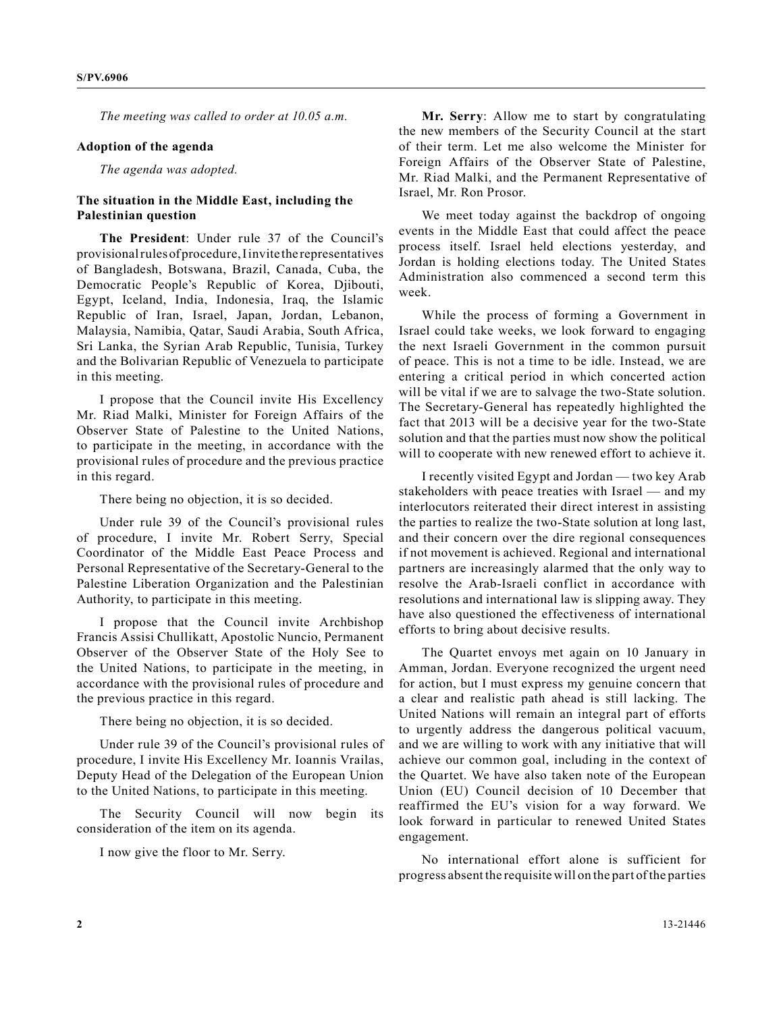*The meeting was called to order at 10.05 a.m.* 

## **Adoption of the agenda**

*The agenda was adopted.*

## **The situation in the Middle East, including the Palestinian question**

**The President**: Under rule 37 of the Council's provisional rules of procedure, I invite the representatives of Bangladesh, Botswana, Brazil, Canada, Cuba, the Democratic People's Republic of Korea, Djibouti, Egypt, Iceland, India, Indonesia, Iraq, the Islamic Republic of Iran, Israel, Japan, Jordan, Lebanon, Malaysia, Namibia, Qatar, Saudi Arabia, South Africa, Sri Lanka, the Syrian Arab Republic, Tunisia, Turkey and the Bolivarian Republic of Venezuela to participate in this meeting.

I propose that the Council invite His Excellency Mr. Riad Malki, Minister for Foreign Affairs of the Observer State of Palestine to the United Nations, to participate in the meeting, in accordance with the provisional rules of procedure and the previous practice in this regard.

There being no objection, it is so decided.

Under rule 39 of the Council's provisional rules of procedure, I invite Mr. Robert Serry, Special Coordinator of the Middle East Peace Process and Personal Representative of the Secretary-General to the Palestine Liberation Organization and the Palestinian Authority, to participate in this meeting.

I propose that the Council invite Archbishop Francis Assisi Chullikatt, Apostolic Nuncio, Permanent Observer of the Observer State of the Holy See to the United Nations, to participate in the meeting, in accordance with the provisional rules of procedure and the previous practice in this regard.

There being no objection, it is so decided.

Under rule 39 of the Council's provisional rules of procedure, I invite His Excellency Mr. Ioannis Vrailas, Deputy Head of the Delegation of the European Union to the United Nations, to participate in this meeting.

The Security Council will now begin its consideration of the item on its agenda.

I now give the floor to Mr. Serry.

**Mr. Serry**: Allow me to start by congratulating the new members of the Security Council at the start of their term. Let me also welcome the Minister for Foreign Affairs of the Observer State of Palestine, Mr. Riad Malki, and the Permanent Representative of Israel, Mr. Ron Prosor.

We meet today against the backdrop of ongoing events in the Middle East that could affect the peace process itself. Israel held elections yesterday, and Jordan is holding elections today. The United States Administration also commenced a second term this week.

While the process of forming a Government in Israel could take weeks, we look forward to engaging the next Israeli Government in the common pursuit of peace. This is not a time to be idle. Instead, we are entering a critical period in which concerted action will be vital if we are to salvage the two-State solution. The Secretary-General has repeatedly highlighted the fact that 2013 will be a decisive year for the two-State solution and that the parties must now show the political will to cooperate with new renewed effort to achieve it.

I recently visited Egypt and Jordan — two key Arab stakeholders with peace treaties with Israel — and my interlocutors reiterated their direct interest in assisting the parties to realize the two-State solution at long last, and their concern over the dire regional consequences if not movement is achieved. Regional and international partners are increasingly alarmed that the only way to resolve the Arab-Israeli conflict in accordance with resolutions and international law is slipping away. They have also questioned the effectiveness of international efforts to bring about decisive results.

The Quartet envoys met again on 10 January in Amman, Jordan. Everyone recognized the urgent need for action, but I must express my genuine concern that a clear and realistic path ahead is still lacking. The United Nations will remain an integral part of efforts to urgently address the dangerous political vacuum, and we are willing to work with any initiative that will achieve our common goal, including in the context of the Quartet. We have also taken note of the European Union (EU) Council decision of 10 December that reaffirmed the EU's vision for a way forward. We look forward in particular to renewed United States engagement.

No international effort alone is sufficient for progress absent the requisite will on the part of the parties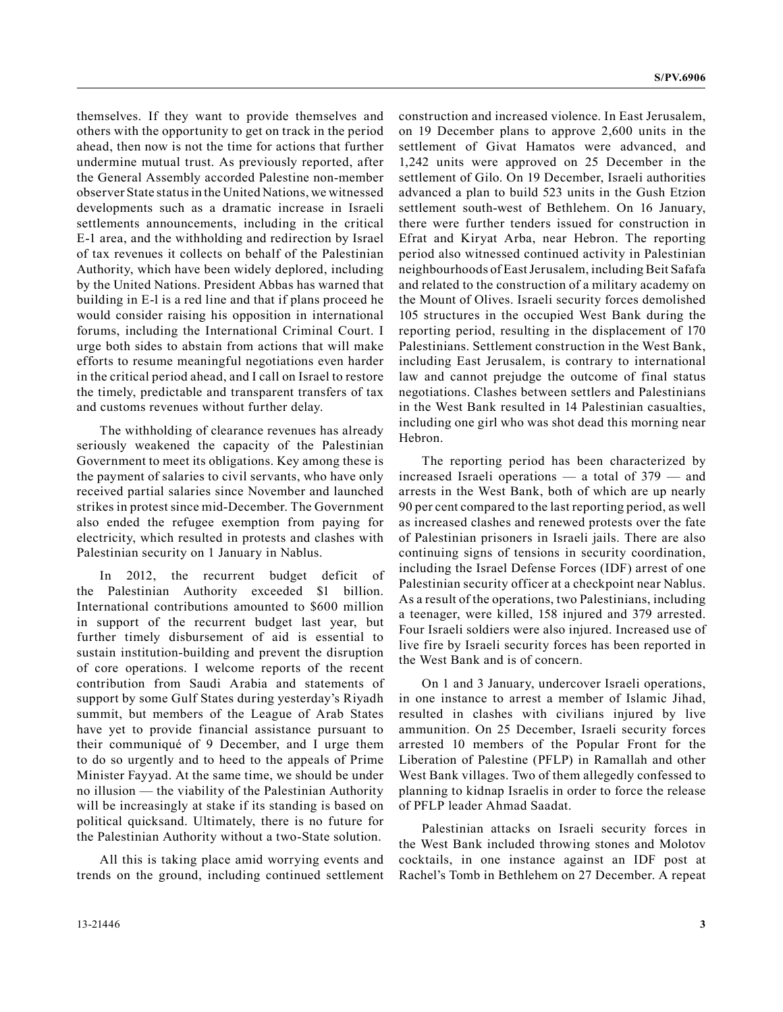themselves. If they want to provide themselves and others with the opportunity to get on track in the period ahead, then now is not the time for actions that further undermine mutual trust. As previously reported, after the General Assembly accorded Palestine non-member observer State status in the United Nations, we witnessed developments such as a dramatic increase in Israeli settlements announcements, including in the critical E-1 area, and the withholding and redirection by Israel of tax revenues it collects on behalf of the Palestinian Authority, which have been widely deplored, including by the United Nations. President Abbas has warned that building in E-l is a red line and that if plans proceed he would consider raising his opposition in international forums, including the International Criminal Court. I urge both sides to abstain from actions that will make efforts to resume meaningful negotiations even harder in the critical period ahead, and I call on Israel to restore the timely, predictable and transparent transfers of tax and customs revenues without further delay.

The withholding of clearance revenues has already seriously weakened the capacity of the Palestinian Government to meet its obligations. Key among these is the payment of salaries to civil servants, who have only received partial salaries since November and launched strikes in protest since mid-December. The Government also ended the refugee exemption from paying for electricity, which resulted in protests and clashes with Palestinian security on 1 January in Nablus.

In 2012, the recurrent budget deficit of the Palestinian Authority exceeded \$1 billion. International contributions amounted to \$600 million in support of the recurrent budget last year, but further timely disbursement of aid is essential to sustain institution-building and prevent the disruption of core operations. I welcome reports of the recent contribution from Saudi Arabia and statements of support by some Gulf States during yesterday's Riyadh summit, but members of the League of Arab States have yet to provide financial assistance pursuant to their communiqué of 9 December, and I urge them to do so urgently and to heed to the appeals of Prime Minister Fayyad. At the same time, we should be under no illusion — the viability of the Palestinian Authority will be increasingly at stake if its standing is based on political quicksand. Ultimately, there is no future for the Palestinian Authority without a two-State solution.

All this is taking place amid worrying events and trends on the ground, including continued settlement

on 19 December plans to approve 2,600 units in the settlement of Givat Hamatos were advanced, and 1,242 units were approved on 25 December in the settlement of Gilo. On 19 December, Israeli authorities advanced a plan to build 523 units in the Gush Etzion settlement south-west of Bethlehem. On 16 January, there were further tenders issued for construction in Efrat and Kiryat Arba, near Hebron. The reporting period also witnessed continued activity in Palestinian neighbourhoods of East Jerusalem, including Beit Safafa and related to the construction of a military academy on the Mount of Olives. Israeli security forces demolished 105 structures in the occupied West Bank during the reporting period, resulting in the displacement of 170 Palestinians. Settlement construction in the West Bank, including East Jerusalem, is contrary to international law and cannot prejudge the outcome of final status negotiations. Clashes between settlers and Palestinians in the West Bank resulted in 14 Palestinian casualties, including one girl who was shot dead this morning near Hebron.

construction and increased violence. In East Jerusalem,

The reporting period has been characterized by increased Israeli operations — a total of 379 — and arrests in the West Bank, both of which are up nearly 90 per cent compared to the last reporting period, as well as increased clashes and renewed protests over the fate of Palestinian prisoners in Israeli jails. There are also continuing signs of tensions in security coordination, including the Israel Defense Forces (IDF) arrest of one Palestinian security officer at a checkpoint near Nablus. As a result of the operations, two Palestinians, including a teenager, were killed, 158 injured and 379 arrested. Four Israeli soldiers were also injured. Increased use of live fire by Israeli security forces has been reported in the West Bank and is of concern.

On 1 and 3 January, undercover Israeli operations, in one instance to arrest a member of Islamic Jihad, resulted in clashes with civilians injured by live ammunition. On 25 December, Israeli security forces arrested 10 members of the Popular Front for the Liberation of Palestine (PFLP) in Ramallah and other West Bank villages. Two of them allegedly confessed to planning to kidnap Israelis in order to force the release of PFLP leader Ahmad Saadat.

Palestinian attacks on Israeli security forces in the West Bank included throwing stones and Molotov cocktails, in one instance against an IDF post at Rachel's Tomb in Bethlehem on 27 December. A repeat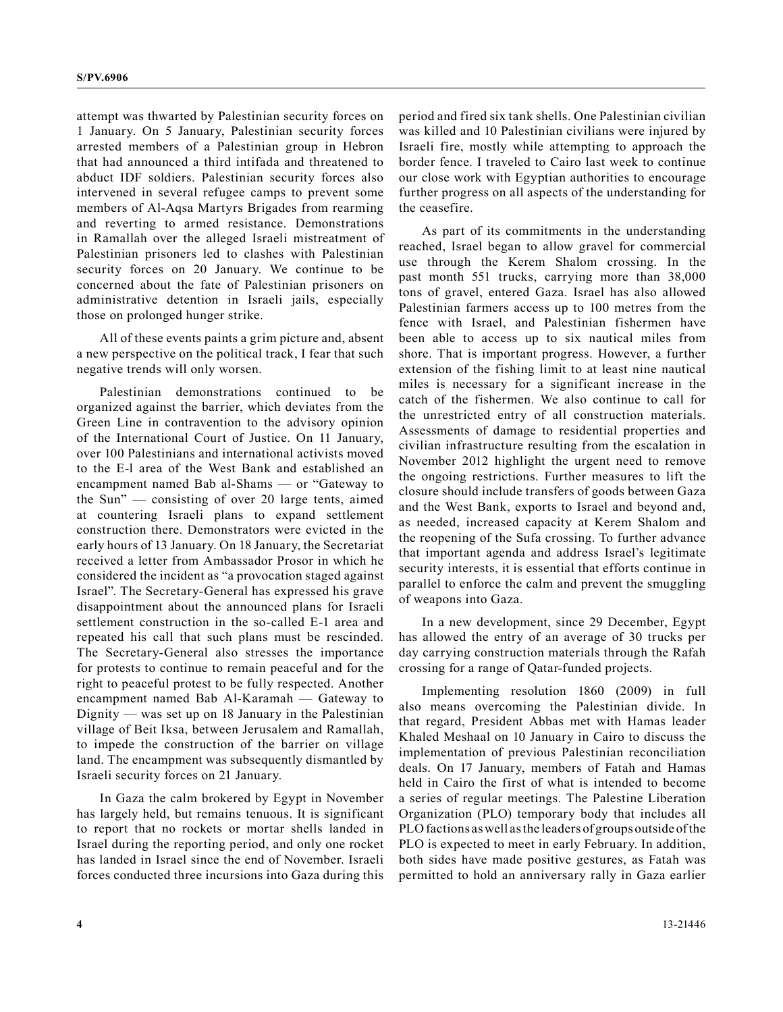attempt was thwarted by Palestinian security forces on 1 January. On 5 January, Palestinian security forces arrested members of a Palestinian group in Hebron that had announced a third intifada and threatened to abduct IDF soldiers. Palestinian security forces also intervened in several refugee camps to prevent some members of Al-Aqsa Martyrs Brigades from rearming and reverting to armed resistance. Demonstrations in Ramallah over the alleged Israeli mistreatment of Palestinian prisoners led to clashes with Palestinian security forces on 20 January. We continue to be concerned about the fate of Palestinian prisoners on administrative detention in Israeli jails, especially those on prolonged hunger strike.

All of these events paints a grim picture and, absent a new perspective on the political track, I fear that such negative trends will only worsen.

Palestinian demonstrations continued to be organized against the barrier, which deviates from the Green Line in contravention to the advisory opinion of the International Court of Justice. On 11 January, over 100 Palestinians and international activists moved to the E-l area of the West Bank and established an encampment named Bab al-Shams — or "Gateway to the Sun" — consisting of over 20 large tents, aimed at countering Israeli plans to expand settlement construction there. Demonstrators were evicted in the early hours of 13 January. On 18 January, the Secretariat received a letter from Ambassador Prosor in which he considered the incident as "a provocation staged against Israel". The Secretary-General has expressed his grave disappointment about the announced plans for Israeli settlement construction in the so-called E-1 area and repeated his call that such plans must be rescinded. The Secretary-General also stresses the importance for protests to continue to remain peaceful and for the right to peaceful protest to be fully respected. Another encampment named Bab Al-Karamah — Gateway to Dignity — was set up on 18 January in the Palestinian village of Beit Iksa, between Jerusalem and Ramallah, to impede the construction of the barrier on village land. The encampment was subsequently dismantled by Israeli security forces on 21 January.

In Gaza the calm brokered by Egypt in November has largely held, but remains tenuous. It is significant to report that no rockets or mortar shells landed in Israel during the reporting period, and only one rocket has landed in Israel since the end of November. Israeli forces conducted three incursions into Gaza during this

period and fired six tank shells. One Palestinian civilian was killed and 10 Palestinian civilians were injured by Israeli fire, mostly while attempting to approach the border fence. I traveled to Cairo last week to continue our close work with Egyptian authorities to encourage further progress on all aspects of the understanding for the ceasefire.

As part of its commitments in the understanding reached, Israel began to allow gravel for commercial use through the Kerem Shalom crossing. In the past month 551 trucks, carrying more than 38,000 tons of gravel, entered Gaza. Israel has also allowed Palestinian farmers access up to 100 metres from the fence with Israel, and Palestinian fishermen have been able to access up to six nautical miles from shore. That is important progress. However, a further extension of the fishing limit to at least nine nautical miles is necessary for a significant increase in the catch of the fishermen. We also continue to call for the unrestricted entry of all construction materials. Assessments of damage to residential properties and civilian infrastructure resulting from the escalation in November 2012 highlight the urgent need to remove the ongoing restrictions. Further measures to lift the closure should include transfers of goods between Gaza and the West Bank, exports to Israel and beyond and, as needed, increased capacity at Kerem Shalom and the reopening of the Sufa crossing. To further advance that important agenda and address Israel's legitimate security interests, it is essential that efforts continue in parallel to enforce the calm and prevent the smuggling of weapons into Gaza.

In a new development, since 29 December, Egypt has allowed the entry of an average of 30 trucks per day carrying construction materials through the Rafah crossing for a range of Qatar-funded projects.

Implementing resolution 1860 (2009) in full also means overcoming the Palestinian divide. In that regard, President Abbas met with Hamas leader Khaled Meshaal on 10 January in Cairo to discuss the implementation of previous Palestinian reconciliation deals. On 17 January, members of Fatah and Hamas held in Cairo the first of what is intended to become a series of regular meetings. The Palestine Liberation Organization (PLO) temporary body that includes all PLO factions as well as the leaders of groups outside of the PLO is expected to meet in early February. In addition, both sides have made positive gestures, as Fatah was permitted to hold an anniversary rally in Gaza earlier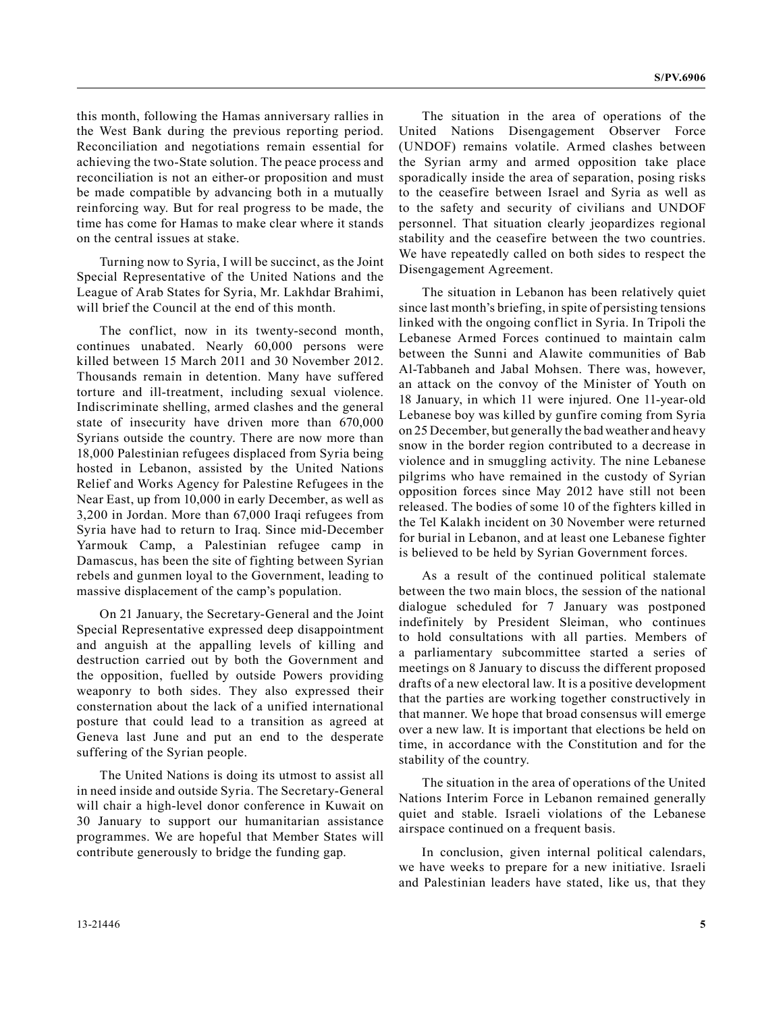this month, following the Hamas anniversary rallies in the West Bank during the previous reporting period. Reconciliation and negotiations remain essential for achieving the two-State solution. The peace process and reconciliation is not an either-or proposition and must be made compatible by advancing both in a mutually reinforcing way. But for real progress to be made, the time has come for Hamas to make clear where it stands on the central issues at stake.

Turning now to Syria, I will be succinct, as the Joint Special Representative of the United Nations and the League of Arab States for Syria, Mr. Lakhdar Brahimi, will brief the Council at the end of this month.

The conflict, now in its twenty-second month, continues unabated. Nearly 60,000 persons were killed between 15 March 2011 and 30 November 2012. Thousands remain in detention. Many have suffered torture and ill-treatment, including sexual violence. Indiscriminate shelling, armed clashes and the general state of insecurity have driven more than 670,000 Syrians outside the country. There are now more than 18,000 Palestinian refugees displaced from Syria being hosted in Lebanon, assisted by the United Nations Relief and Works Agency for Palestine Refugees in the Near East, up from 10,000 in early December, as well as 3,200 in Jordan. More than 67,000 Iraqi refugees from Syria have had to return to Iraq. Since mid-December Yarmouk Camp, a Palestinian refugee camp in Damascus, has been the site of fighting between Syrian rebels and gunmen loyal to the Government, leading to massive displacement of the camp's population.

On 21 January, the Secretary-General and the Joint Special Representative expressed deep disappointment and anguish at the appalling levels of killing and destruction carried out by both the Government and the opposition, fuelled by outside Powers providing weaponry to both sides. They also expressed their consternation about the lack of a unified international posture that could lead to a transition as agreed at Geneva last June and put an end to the desperate suffering of the Syrian people.

The United Nations is doing its utmost to assist all in need inside and outside Syria. The Secretary-General will chair a high-level donor conference in Kuwait on 30 January to support our humanitarian assistance programmes. We are hopeful that Member States will contribute generously to bridge the funding gap.

The situation in the area of operations of the United Nations Disengagement Observer Force (UNDOF) remains volatile. Armed clashes between the Syrian army and armed opposition take place sporadically inside the area of separation, posing risks to the ceasefire between Israel and Syria as well as to the safety and security of civilians and UNDOF personnel. That situation clearly jeopardizes regional stability and the ceasefire between the two countries. We have repeatedly called on both sides to respect the Disengagement Agreement.

The situation in Lebanon has been relatively quiet since last month's briefing, in spite of persisting tensions linked with the ongoing conflict in Syria. In Tripoli the Lebanese Armed Forces continued to maintain calm between the Sunni and Alawite communities of Bab Al-Tabbaneh and Jabal Mohsen. There was, however, an attack on the convoy of the Minister of Youth on 18 January, in which 11 were injured. One 11-year-old Lebanese boy was killed by gunfire coming from Syria on 25 December, but generally the bad weather and heavy snow in the border region contributed to a decrease in violence and in smuggling activity. The nine Lebanese pilgrims who have remained in the custody of Syrian opposition forces since May 2012 have still not been released. The bodies of some 10 of the fighters killed in the Tel Kalakh incident on 30 November were returned for burial in Lebanon, and at least one Lebanese fighter is believed to be held by Syrian Government forces.

As a result of the continued political stalemate between the two main blocs, the session of the national dialogue scheduled for 7 January was postponed indefinitely by President Sleiman, who continues to hold consultations with all parties. Members of a parliamentary subcommittee started a series of meetings on 8 January to discuss the different proposed drafts of a new electoral law. It is a positive development that the parties are working together constructively in that manner. We hope that broad consensus will emerge over a new law. It is important that elections be held on time, in accordance with the Constitution and for the stability of the country.

The situation in the area of operations of the United Nations Interim Force in Lebanon remained generally quiet and stable. Israeli violations of the Lebanese airspace continued on a frequent basis.

In conclusion, given internal political calendars, we have weeks to prepare for a new initiative. Israeli and Palestinian leaders have stated, like us, that they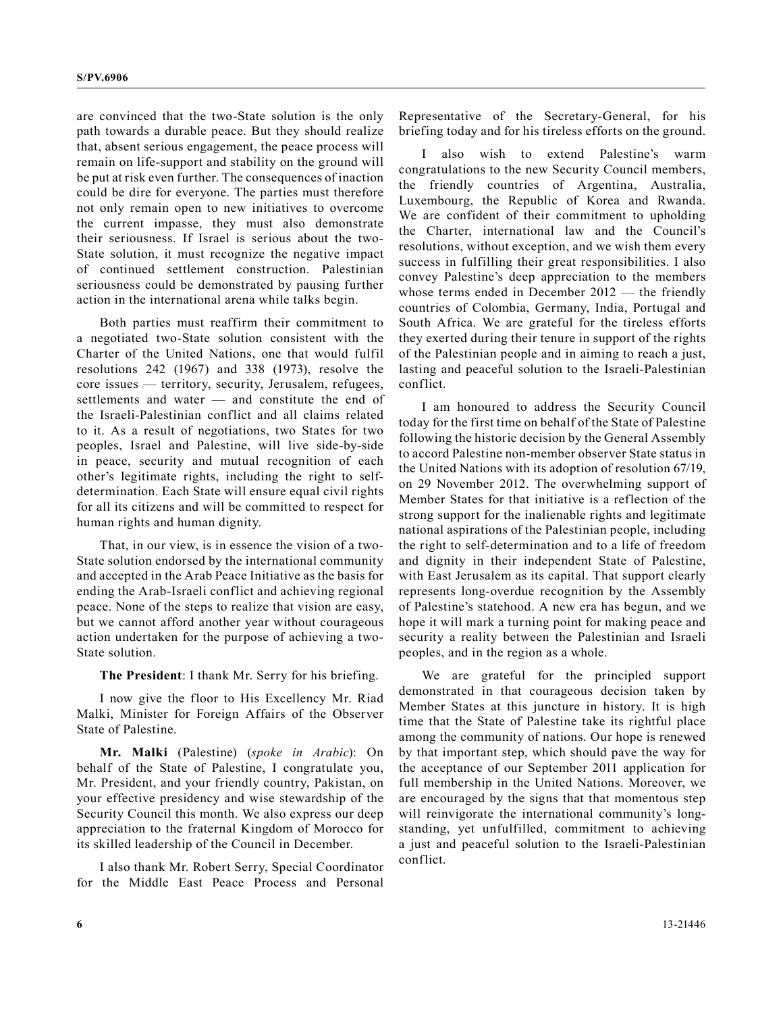are convinced that the two-State solution is the only path towards a durable peace. But they should realize that, absent serious engagement, the peace process will remain on life-support and stability on the ground will be put at risk even further. The consequences of inaction could be dire for everyone. The parties must therefore not only remain open to new initiatives to overcome the current impasse, they must also demonstrate their seriousness. If Israel is serious about the two-State solution, it must recognize the negative impact of continued settlement construction. Palestinian seriousness could be demonstrated by pausing further action in the international arena while talks begin.

Both parties must reaffirm their commitment to a negotiated two-State solution consistent with the Charter of the United Nations, one that would fulfil resolutions 242 (1967) and 338 (1973), resolve the core issues — territory, security, Jerusalem, refugees, settlements and water — and constitute the end of the Israeli-Palestinian conflict and all claims related to it. As a result of negotiations, two States for two peoples, Israel and Palestine, will live side-by-side in peace, security and mutual recognition of each other's legitimate rights, including the right to selfdetermination. Each State will ensure equal civil rights for all its citizens and will be committed to respect for human rights and human dignity.

That, in our view, is in essence the vision of a two-State solution endorsed by the international community and accepted in the Arab Peace Initiative as the basis for ending the Arab-Israeli conflict and achieving regional peace. None of the steps to realize that vision are easy, but we cannot afford another year without courageous action undertaken for the purpose of achieving a two-State solution.

**The President**: I thank Mr. Serry for his briefing.

I now give the floor to His Excellency Mr. Riad Malki, Minister for Foreign Affairs of the Observer State of Palestine.

**Mr. Malki** (Palestine) (*spoke in Arabic*): On behalf of the State of Palestine, I congratulate you, Mr. President, and your friendly country, Pakistan, on your effective presidency and wise stewardship of the Security Council this month. We also express our deep appreciation to the fraternal Kingdom of Morocco for its skilled leadership of the Council in December.

I also thank Mr. Robert Serry, Special Coordinator for the Middle East Peace Process and Personal Representative of the Secretary-General, for his briefing today and for his tireless efforts on the ground.

also wish to extend Palestine's warm congratulations to the new Security Council members, the friendly countries of Argentina, Australia, Luxembourg, the Republic of Korea and Rwanda. We are confident of their commitment to upholding the Charter, international law and the Council's resolutions, without exception, and we wish them every success in fulfilling their great responsibilities. I also convey Palestine's deep appreciation to the members whose terms ended in December 2012 — the friendly countries of Colombia, Germany, India, Portugal and South Africa. We are grateful for the tireless efforts they exerted during their tenure in support of the rights of the Palestinian people and in aiming to reach a just, lasting and peaceful solution to the Israeli-Palestinian conflict.

I am honoured to address the Security Council today for the first time on behalf of the State of Palestine following the historic decision by the General Assembly to accord Palestine non-member observer State status in the United Nations with its adoption of resolution 67/19, on 29 November 2012. The overwhelming support of Member States for that initiative is a reflection of the strong support for the inalienable rights and legitimate national aspirations of the Palestinian people, including the right to self-determination and to a life of freedom and dignity in their independent State of Palestine, with East Jerusalem as its capital. That support clearly represents long-overdue recognition by the Assembly of Palestine's statehood. A new era has begun, and we hope it will mark a turning point for making peace and security a reality between the Palestinian and Israeli peoples, and in the region as a whole.

We are grateful for the principled support demonstrated in that courageous decision taken by Member States at this juncture in history. It is high time that the State of Palestine take its rightful place among the community of nations. Our hope is renewed by that important step, which should pave the way for the acceptance of our September 2011 application for full membership in the United Nations. Moreover, we are encouraged by the signs that that momentous step will reinvigorate the international community's longstanding, yet unfulfilled, commitment to achieving a just and peaceful solution to the Israeli-Palestinian conflict.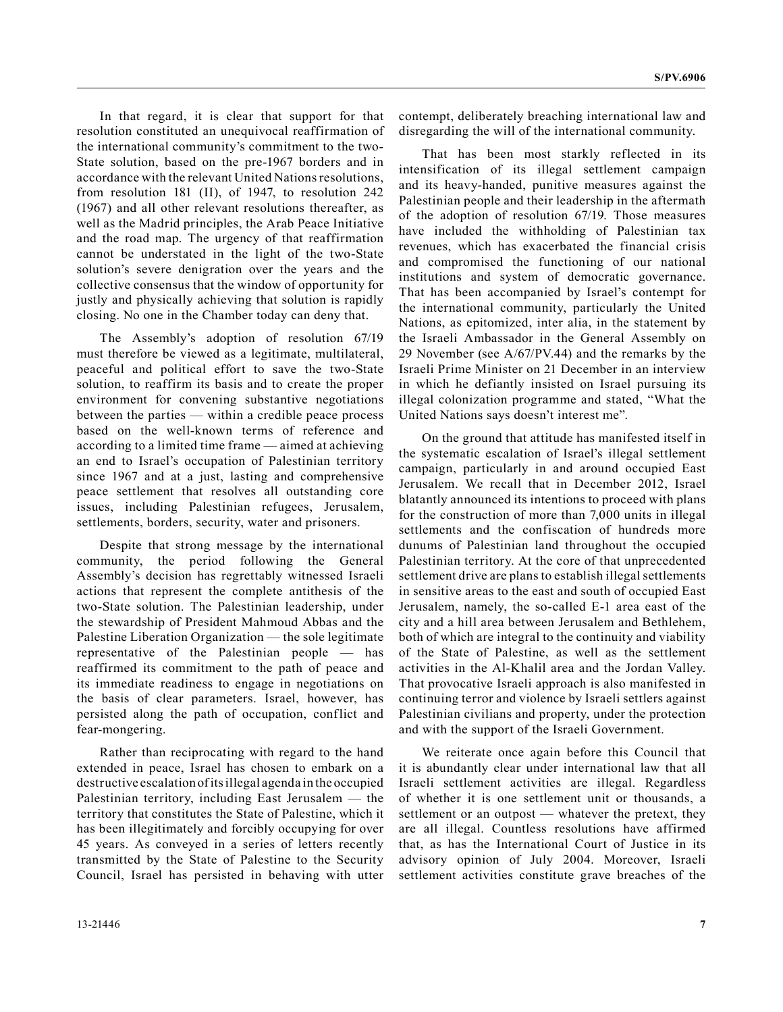In that regard, it is clear that support for that resolution constituted an unequivocal reaffirmation of the international community's commitment to the two-State solution, based on the pre-1967 borders and in accordance with the relevant United Nations resolutions, from resolution 181 (II), of 1947, to resolution 242 (1967) and all other relevant resolutions thereafter, as well as the Madrid principles, the Arab Peace Initiative and the road map. The urgency of that reaffirmation cannot be understated in the light of the two-State solution's severe denigration over the years and the collective consensus that the window of opportunity for justly and physically achieving that solution is rapidly closing. No one in the Chamber today can deny that.

The Assembly's adoption of resolution 67/19 must therefore be viewed as a legitimate, multilateral, peaceful and political effort to save the two-State solution, to reaffirm its basis and to create the proper environment for convening substantive negotiations between the parties — within a credible peace process based on the well-known terms of reference and according to a limited time frame — aimed at achieving an end to Israel's occupation of Palestinian territory since 1967 and at a just, lasting and comprehensive peace settlement that resolves all outstanding core issues, including Palestinian refugees, Jerusalem, settlements, borders, security, water and prisoners.

Despite that strong message by the international community, the period following the General Assembly's decision has regrettably witnessed Israeli actions that represent the complete antithesis of the two-State solution. The Palestinian leadership, under the stewardship of President Mahmoud Abbas and the Palestine Liberation Organization — the sole legitimate representative of the Palestinian people — has reaffirmed its commitment to the path of peace and its immediate readiness to engage in negotiations on the basis of clear parameters. Israel, however, has persisted along the path of occupation, conflict and fear-mongering.

Rather than reciprocating with regard to the hand extended in peace, Israel has chosen to embark on a destructive escalation of its illegal agenda in the occupied Palestinian territory, including East Jerusalem — the territory that constitutes the State of Palestine, which it has been illegitimately and forcibly occupying for over 45 years. As conveyed in a series of letters recently transmitted by the State of Palestine to the Security Council, Israel has persisted in behaving with utter

contempt, deliberately breaching international law and disregarding the will of the international community.

That has been most starkly reflected in its intensification of its illegal settlement campaign and its heavy-handed, punitive measures against the Palestinian people and their leadership in the aftermath of the adoption of resolution 67/19. Those measures have included the withholding of Palestinian tax revenues, which has exacerbated the financial crisis and compromised the functioning of our national institutions and system of democratic governance. That has been accompanied by Israel's contempt for the international community, particularly the United Nations, as epitomized, inter alia, in the statement by the Israeli Ambassador in the General Assembly on 29 November (see A/67/PV.44) and the remarks by the Israeli Prime Minister on 21 December in an interview in which he defiantly insisted on Israel pursuing its illegal colonization programme and stated, "What the United Nations says doesn't interest me".

On the ground that attitude has manifested itself in the systematic escalation of Israel's illegal settlement campaign, particularly in and around occupied East Jerusalem. We recall that in December 2012, Israel blatantly announced its intentions to proceed with plans for the construction of more than 7,000 units in illegal settlements and the confiscation of hundreds more dunums of Palestinian land throughout the occupied Palestinian territory. At the core of that unprecedented settlement drive are plans to establish illegal settlements in sensitive areas to the east and south of occupied East Jerusalem, namely, the so-called E-1 area east of the city and a hill area between Jerusalem and Bethlehem, both of which are integral to the continuity and viability of the State of Palestine, as well as the settlement activities in the Al-Khalil area and the Jordan Valley. That provocative Israeli approach is also manifested in continuing terror and violence by Israeli settlers against Palestinian civilians and property, under the protection and with the support of the Israeli Government.

We reiterate once again before this Council that it is abundantly clear under international law that all Israeli settlement activities are illegal. Regardless of whether it is one settlement unit or thousands, a settlement or an outpost — whatever the pretext, they are all illegal. Countless resolutions have affirmed that, as has the International Court of Justice in its advisory opinion of July 2004. Moreover, Israeli settlement activities constitute grave breaches of the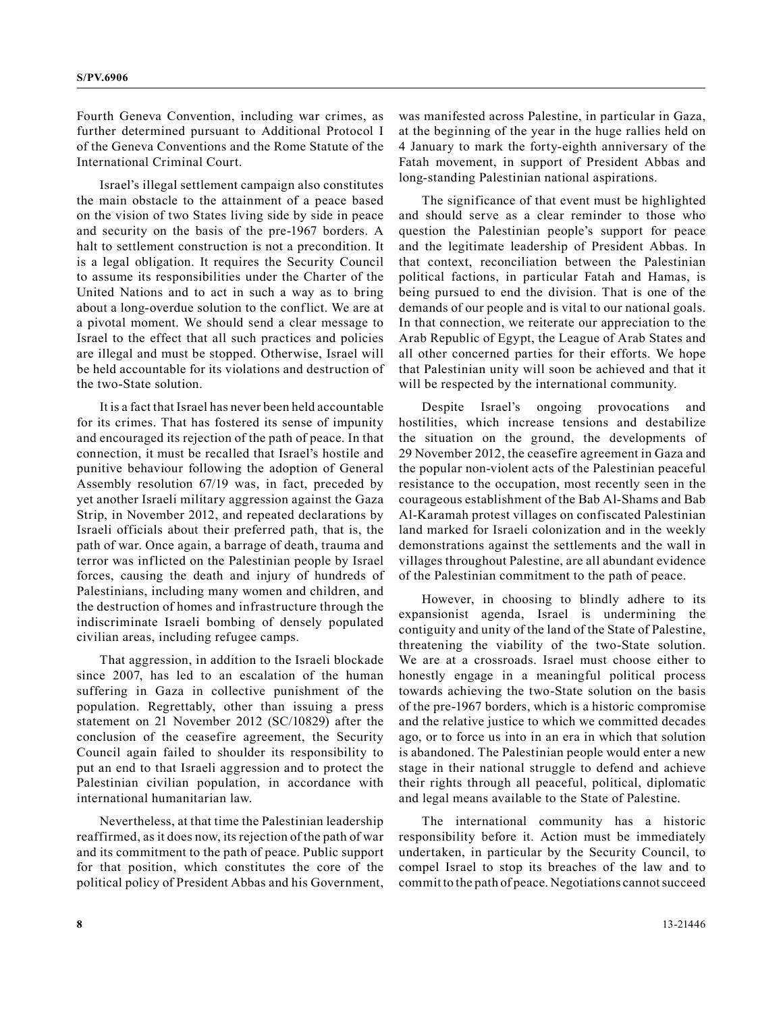Fourth Geneva Convention, including war crimes, as further determined pursuant to Additional Protocol I of the Geneva Conventions and the Rome Statute of the International Criminal Court.

Israel's illegal settlement campaign also constitutes the main obstacle to the attainment of a peace based on the vision of two States living side by side in peace and security on the basis of the pre-1967 borders. A halt to settlement construction is not a precondition. It is a legal obligation. It requires the Security Council to assume its responsibilities under the Charter of the United Nations and to act in such a way as to bring about a long-overdue solution to the conflict. We are at a pivotal moment. We should send a clear message to Israel to the effect that all such practices and policies are illegal and must be stopped. Otherwise, Israel will be held accountable for its violations and destruction of the two-State solution.

It is a fact that Israel has never been held accountable for its crimes. That has fostered its sense of impunity and encouraged its rejection of the path of peace. In that connection, it must be recalled that Israel's hostile and punitive behaviour following the adoption of General Assembly resolution 67/19 was, in fact, preceded by yet another Israeli military aggression against the Gaza Strip, in November 2012, and repeated declarations by Israeli officials about their preferred path, that is, the path of war. Once again, a barrage of death, trauma and terror was inflicted on the Palestinian people by Israel forces, causing the death and injury of hundreds of Palestinians, including many women and children, and the destruction of homes and infrastructure through the indiscriminate Israeli bombing of densely populated civilian areas, including refugee camps.

That aggression, in addition to the Israeli blockade since 2007, has led to an escalation of the human suffering in Gaza in collective punishment of the population. Regrettably, other than issuing a press statement on 21 November 2012 (SC/10829) after the conclusion of the ceasefire agreement, the Security Council again failed to shoulder its responsibility to put an end to that Israeli aggression and to protect the Palestinian civilian population, in accordance with international humanitarian law.

Nevertheless, at that time the Palestinian leadership reaffirmed, as it does now, its rejection of the path of war and its commitment to the path of peace. Public support for that position, which constitutes the core of the political policy of President Abbas and his Government,

was manifested across Palestine, in particular in Gaza, at the beginning of the year in the huge rallies held on 4 January to mark the forty-eighth anniversary of the Fatah movement, in support of President Abbas and long-standing Palestinian national aspirations.

The significance of that event must be highlighted and should serve as a clear reminder to those who question the Palestinian people's support for peace and the legitimate leadership of President Abbas. In that context, reconciliation between the Palestinian political factions, in particular Fatah and Hamas, is being pursued to end the division. That is one of the demands of our people and is vital to our national goals. In that connection, we reiterate our appreciation to the Arab Republic of Egypt, the League of Arab States and all other concerned parties for their efforts. We hope that Palestinian unity will soon be achieved and that it will be respected by the international community.

Despite Israel's ongoing provocations and hostilities, which increase tensions and destabilize the situation on the ground, the developments of 29 November 2012, the ceasefire agreement in Gaza and the popular non-violent acts of the Palestinian peaceful resistance to the occupation, most recently seen in the courageous establishment of the Bab Al-Shams and Bab Al-Karamah protest villages on confiscated Palestinian land marked for Israeli colonization and in the weekly demonstrations against the settlements and the wall in villages throughout Palestine, are all abundant evidence of the Palestinian commitment to the path of peace.

However, in choosing to blindly adhere to its expansionist agenda, Israel is undermining the contiguity and unity of the land of the State of Palestine, threatening the viability of the two-State solution. We are at a crossroads. Israel must choose either to honestly engage in a meaningful political process towards achieving the two-State solution on the basis of the pre-1967 borders, which is a historic compromise and the relative justice to which we committed decades ago, or to force us into in an era in which that solution is abandoned. The Palestinian people would enter a new stage in their national struggle to defend and achieve their rights through all peaceful, political, diplomatic and legal means available to the State of Palestine.

The international community has a historic responsibility before it. Action must be immediately undertaken, in particular by the Security Council, to compel Israel to stop its breaches of the law and to commit to the path of peace. Negotiations cannot succeed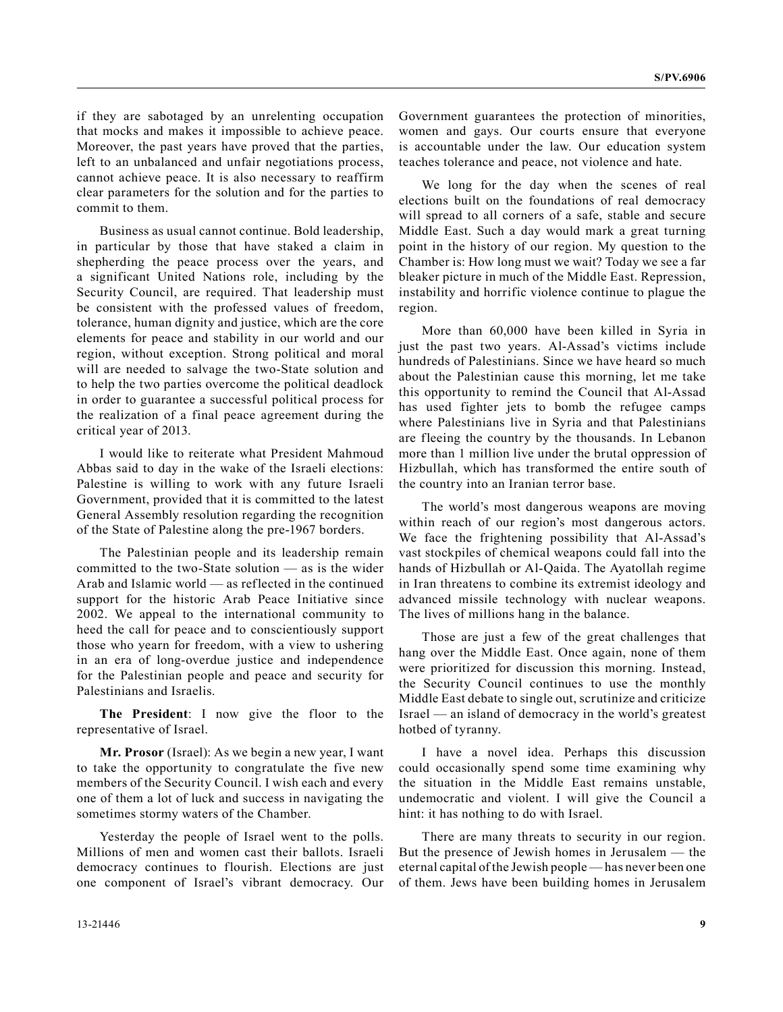if they are sabotaged by an unrelenting occupation that mocks and makes it impossible to achieve peace. Moreover, the past years have proved that the parties, left to an unbalanced and unfair negotiations process, cannot achieve peace. It is also necessary to reaffirm clear parameters for the solution and for the parties to commit to them.

Business as usual cannot continue. Bold leadership, in particular by those that have staked a claim in shepherding the peace process over the years, and a significant United Nations role, including by the Security Council, are required. That leadership must be consistent with the professed values of freedom, tolerance, human dignity and justice, which are the core elements for peace and stability in our world and our region, without exception. Strong political and moral will are needed to salvage the two-State solution and to help the two parties overcome the political deadlock in order to guarantee a successful political process for the realization of a final peace agreement during the critical year of 2013.

I would like to reiterate what President Mahmoud Abbas said to day in the wake of the Israeli elections: Palestine is willing to work with any future Israeli Government, provided that it is committed to the latest General Assembly resolution regarding the recognition of the State of Palestine along the pre-1967 borders.

The Palestinian people and its leadership remain committed to the two-State solution — as is the wider Arab and Islamic world — as reflected in the continued support for the historic Arab Peace Initiative since 2002. We appeal to the international community to heed the call for peace and to conscientiously support those who yearn for freedom, with a view to ushering in an era of long-overdue justice and independence for the Palestinian people and peace and security for Palestinians and Israelis.

**The President**: I now give the floor to the representative of Israel.

**Mr. Prosor** (Israel): As we begin a new year, I want to take the opportunity to congratulate the five new members of the Security Council. I wish each and every one of them a lot of luck and success in navigating the sometimes stormy waters of the Chamber.

Yesterday the people of Israel went to the polls. Millions of men and women cast their ballots. Israeli democracy continues to flourish. Elections are just one component of Israel's vibrant democracy. Our Government guarantees the protection of minorities, women and gays. Our courts ensure that everyone is accountable under the law. Our education system teaches tolerance and peace, not violence and hate.

We long for the day when the scenes of real elections built on the foundations of real democracy will spread to all corners of a safe, stable and secure Middle East. Such a day would mark a great turning point in the history of our region. My question to the Chamber is: How long must we wait? Today we see a far bleaker picture in much of the Middle East. Repression, instability and horrific violence continue to plague the region.

More than 60,000 have been killed in Syria in just the past two years. Al-Assad's victims include hundreds of Palestinians. Since we have heard so much about the Palestinian cause this morning, let me take this opportunity to remind the Council that Al-Assad has used fighter jets to bomb the refugee camps where Palestinians live in Syria and that Palestinians are fleeing the country by the thousands. In Lebanon more than 1 million live under the brutal oppression of Hizbullah, which has transformed the entire south of the country into an Iranian terror base.

The world's most dangerous weapons are moving within reach of our region's most dangerous actors. We face the frightening possibility that Al-Assad's vast stockpiles of chemical weapons could fall into the hands of Hizbullah or Al-Qaida. The Ayatollah regime in Iran threatens to combine its extremist ideology and advanced missile technology with nuclear weapons. The lives of millions hang in the balance.

Those are just a few of the great challenges that hang over the Middle East. Once again, none of them were prioritized for discussion this morning. Instead, the Security Council continues to use the monthly Middle East debate to single out, scrutinize and criticize Israel — an island of democracy in the world's greatest hotbed of tyranny.

I have a novel idea. Perhaps this discussion could occasionally spend some time examining why the situation in the Middle East remains unstable, undemocratic and violent. I will give the Council a hint: it has nothing to do with Israel.

There are many threats to security in our region. But the presence of Jewish homes in Jerusalem — the eternal capital of the Jewish people — has never been one of them. Jews have been building homes in Jerusalem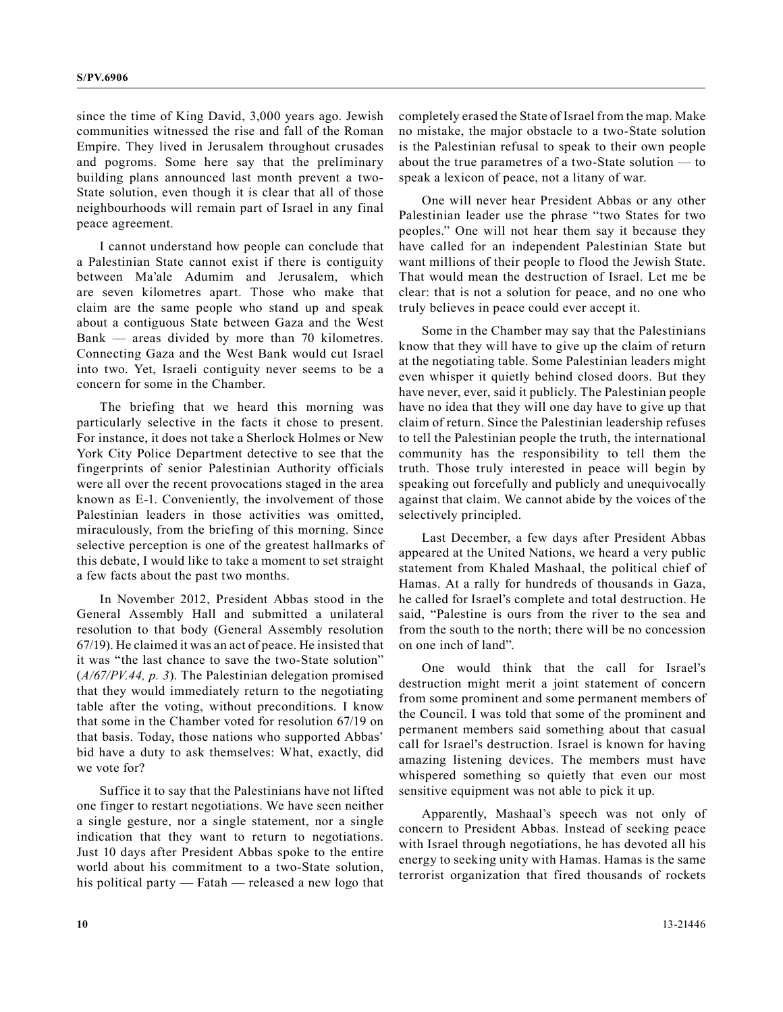since the time of King David, 3,000 years ago. Jewish communities witnessed the rise and fall of the Roman Empire. They lived in Jerusalem throughout crusades and pogroms. Some here say that the preliminary building plans announced last month prevent a two-State solution, even though it is clear that all of those neighbourhoods will remain part of Israel in any final peace agreement.

I cannot understand how people can conclude that a Palestinian State cannot exist if there is contiguity between Ma'ale Adumim and Jerusalem, which are seven kilometres apart. Those who make that claim are the same people who stand up and speak about a contiguous State between Gaza and the West Bank — areas divided by more than 70 kilometres. Connecting Gaza and the West Bank would cut Israel into two. Yet, Israeli contiguity never seems to be a concern for some in the Chamber.

The briefing that we heard this morning was particularly selective in the facts it chose to present. For instance, it does not take a Sherlock Holmes or New York City Police Department detective to see that the fingerprints of senior Palestinian Authority officials were all over the recent provocations staged in the area known as E-1. Conveniently, the involvement of those Palestinian leaders in those activities was omitted, miraculously, from the briefing of this morning. Since selective perception is one of the greatest hallmarks of this debate, I would like to take a moment to set straight a few facts about the past two months.

In November 2012, President Abbas stood in the General Assembly Hall and submitted a unilateral resolution to that body (General Assembly resolution 67/19). He claimed it was an act of peace. He insisted that it was "the last chance to save the two-State solution" (*A/67/PV.44, p. 3*). The Palestinian delegation promised that they would immediately return to the negotiating table after the voting, without preconditions. I know that some in the Chamber voted for resolution 67/19 on that basis. Today, those nations who supported Abbas' bid have a duty to ask themselves: What, exactly, did we vote for?

Suffice it to say that the Palestinians have not lifted one finger to restart negotiations. We have seen neither a single gesture, nor a single statement, nor a single indication that they want to return to negotiations. Just 10 days after President Abbas spoke to the entire world about his commitment to a two-State solution, his political party — Fatah — released a new logo that completely erased the State of Israel from the map. Make no mistake, the major obstacle to a two-State solution is the Palestinian refusal to speak to their own people about the true parametres of a two-State solution — to speak a lexicon of peace, not a litany of war.

One will never hear President Abbas or any other Palestinian leader use the phrase "two States for two peoples." One will not hear them say it because they have called for an independent Palestinian State but want millions of their people to flood the Jewish State. That would mean the destruction of Israel. Let me be clear: that is not a solution for peace, and no one who truly believes in peace could ever accept it.

Some in the Chamber may say that the Palestinians know that they will have to give up the claim of return at the negotiating table. Some Palestinian leaders might even whisper it quietly behind closed doors. But they have never, ever, said it publicly. The Palestinian people have no idea that they will one day have to give up that claim of return. Since the Palestinian leadership refuses to tell the Palestinian people the truth, the international community has the responsibility to tell them the truth. Those truly interested in peace will begin by speaking out forcefully and publicly and unequivocally against that claim. We cannot abide by the voices of the selectively principled.

Last December, a few days after President Abbas appeared at the United Nations, we heard a very public statement from Khaled Mashaal, the political chief of Hamas. At a rally for hundreds of thousands in Gaza, he called for Israel's complete and total destruction. He said, "Palestine is ours from the river to the sea and from the south to the north; there will be no concession on one inch of land".

One would think that the call for Israel's destruction might merit a joint statement of concern from some prominent and some permanent members of the Council. I was told that some of the prominent and permanent members said something about that casual call for Israel's destruction. Israel is known for having amazing listening devices. The members must have whispered something so quietly that even our most sensitive equipment was not able to pick it up.

Apparently, Mashaal's speech was not only of concern to President Abbas. Instead of seeking peace with Israel through negotiations, he has devoted all his energy to seeking unity with Hamas. Hamas is the same terrorist organization that fired thousands of rockets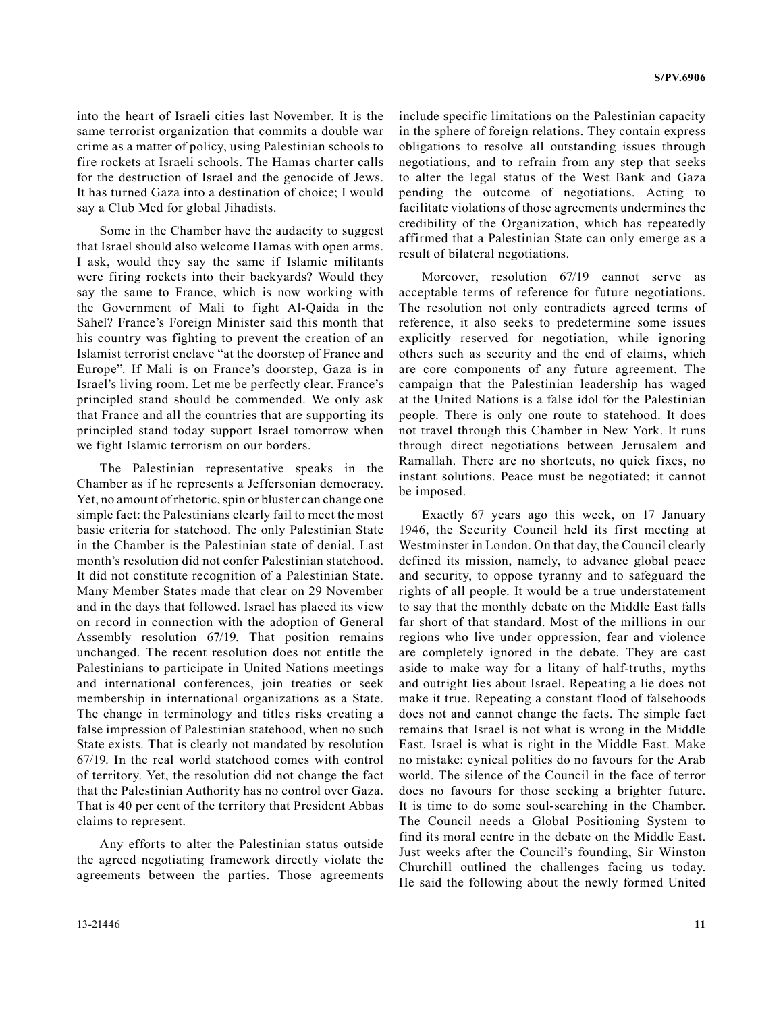into the heart of Israeli cities last November. It is the same terrorist organization that commits a double war crime as a matter of policy, using Palestinian schools to fire rockets at Israeli schools. The Hamas charter calls for the destruction of Israel and the genocide of Jews. It has turned Gaza into a destination of choice; I would say a Club Med for global Jihadists.

Some in the Chamber have the audacity to suggest that Israel should also welcome Hamas with open arms. I ask, would they say the same if Islamic militants were firing rockets into their backyards? Would they say the same to France, which is now working with the Government of Mali to fight Al-Qaida in the Sahel? France's Foreign Minister said this month that his country was fighting to prevent the creation of an Islamist terrorist enclave "at the doorstep of France and Europe". If Mali is on France's doorstep, Gaza is in Israel's living room. Let me be perfectly clear. France's principled stand should be commended. We only ask that France and all the countries that are supporting its principled stand today support Israel tomorrow when we fight Islamic terrorism on our borders.

The Palestinian representative speaks in the Chamber as if he represents a Jeffersonian democracy. Yet, no amount of rhetoric, spin or bluster can change one simple fact: the Palestinians clearly fail to meet the most basic criteria for statehood. The only Palestinian State in the Chamber is the Palestinian state of denial. Last month's resolution did not confer Palestinian statehood. It did not constitute recognition of a Palestinian State. Many Member States made that clear on 29 November and in the days that followed. Israel has placed its view on record in connection with the adoption of General Assembly resolution 67/19. That position remains unchanged. The recent resolution does not entitle the Palestinians to participate in United Nations meetings and international conferences, join treaties or seek membership in international organizations as a State. The change in terminology and titles risks creating a false impression of Palestinian statehood, when no such State exists. That is clearly not mandated by resolution 67/19. In the real world statehood comes with control of territory. Yet, the resolution did not change the fact that the Palestinian Authority has no control over Gaza. That is 40 per cent of the territory that President Abbas claims to represent.

Any efforts to alter the Palestinian status outside the agreed negotiating framework directly violate the agreements between the parties. Those agreements

include specific limitations on the Palestinian capacity in the sphere of foreign relations. They contain express obligations to resolve all outstanding issues through negotiations, and to refrain from any step that seeks to alter the legal status of the West Bank and Gaza pending the outcome of negotiations. Acting to facilitate violations of those agreements undermines the credibility of the Organization, which has repeatedly affirmed that a Palestinian State can only emerge as a result of bilateral negotiations.

Moreover, resolution 67/19 cannot serve as acceptable terms of reference for future negotiations. The resolution not only contradicts agreed terms of reference, it also seeks to predetermine some issues explicitly reserved for negotiation, while ignoring others such as security and the end of claims, which are core components of any future agreement. The campaign that the Palestinian leadership has waged at the United Nations is a false idol for the Palestinian people. There is only one route to statehood. It does not travel through this Chamber in New York. It runs through direct negotiations between Jerusalem and Ramallah. There are no shortcuts, no quick fixes, no instant solutions. Peace must be negotiated; it cannot be imposed.

Exactly 67 years ago this week, on 17 January 1946, the Security Council held its first meeting at Westminster in London. On that day, the Council clearly defined its mission, namely, to advance global peace and security, to oppose tyranny and to safeguard the rights of all people. It would be a true understatement to say that the monthly debate on the Middle East falls far short of that standard. Most of the millions in our regions who live under oppression, fear and violence are completely ignored in the debate. They are cast aside to make way for a litany of half-truths, myths and outright lies about Israel. Repeating a lie does not make it true. Repeating a constant flood of falsehoods does not and cannot change the facts. The simple fact remains that Israel is not what is wrong in the Middle East. Israel is what is right in the Middle East. Make no mistake: cynical politics do no favours for the Arab world. The silence of the Council in the face of terror does no favours for those seeking a brighter future. It is time to do some soul-searching in the Chamber. The Council needs a Global Positioning System to find its moral centre in the debate on the Middle East. Just weeks after the Council's founding, Sir Winston Churchill outlined the challenges facing us today. He said the following about the newly formed United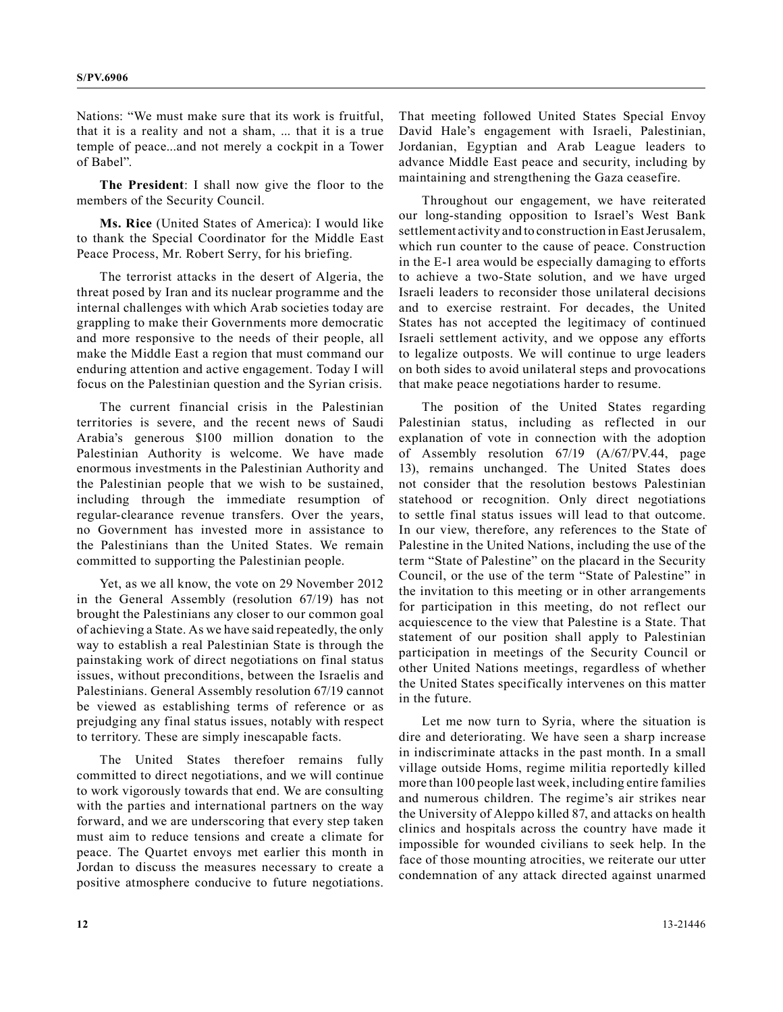Nations: "We must make sure that its work is fruitful, that it is a reality and not a sham, ... that it is a true temple of peace...and not merely a cockpit in a Tower of Babel".

**The President**: I shall now give the floor to the members of the Security Council.

**Ms. Rice** (United States of America): I would like to thank the Special Coordinator for the Middle East Peace Process, Mr. Robert Serry, for his briefing.

The terrorist attacks in the desert of Algeria, the threat posed by Iran and its nuclear programme and the internal challenges with which Arab societies today are grappling to make their Governments more democratic and more responsive to the needs of their people, all make the Middle East a region that must command our enduring attention and active engagement. Today I will focus on the Palestinian question and the Syrian crisis.

The current financial crisis in the Palestinian territories is severe, and the recent news of Saudi Arabia's generous \$100 million donation to the Palestinian Authority is welcome. We have made enormous investments in the Palestinian Authority and the Palestinian people that we wish to be sustained, including through the immediate resumption of regular-clearance revenue transfers. Over the years, no Government has invested more in assistance to the Palestinians than the United States. We remain committed to supporting the Palestinian people.

Yet, as we all know, the vote on 29 November 2012 in the General Assembly (resolution 67/19) has not brought the Palestinians any closer to our common goal of achieving a State. As we have said repeatedly, the only way to establish a real Palestinian State is through the painstaking work of direct negotiations on final status issues, without preconditions, between the Israelis and Palestinians. General Assembly resolution 67/19 cannot be viewed as establishing terms of reference or as prejudging any final status issues, notably with respect to territory. These are simply inescapable facts.

The United States therefoer remains fully committed to direct negotiations, and we will continue to work vigorously towards that end. We are consulting with the parties and international partners on the way forward, and we are underscoring that every step taken must aim to reduce tensions and create a climate for peace. The Quartet envoys met earlier this month in Jordan to discuss the measures necessary to create a positive atmosphere conducive to future negotiations.

That meeting followed United States Special Envoy David Hale's engagement with Israeli, Palestinian, Jordanian, Egyptian and Arab League leaders to advance Middle East peace and security, including by maintaining and strengthening the Gaza ceasefire.

Throughout our engagement, we have reiterated our long-standing opposition to Israel's West Bank settlement activity and to construction in East Jerusalem, which run counter to the cause of peace. Construction in the E-1 area would be especially damaging to efforts to achieve a two-State solution, and we have urged Israeli leaders to reconsider those unilateral decisions and to exercise restraint. For decades, the United States has not accepted the legitimacy of continued Israeli settlement activity, and we oppose any efforts to legalize outposts. We will continue to urge leaders on both sides to avoid unilateral steps and provocations that make peace negotiations harder to resume.

The position of the United States regarding Palestinian status, including as reflected in our explanation of vote in connection with the adoption of Assembly resolution 67/19 (A/67/PV.44, page 13), remains unchanged. The United States does not consider that the resolution bestows Palestinian statehood or recognition. Only direct negotiations to settle final status issues will lead to that outcome. In our view, therefore, any references to the State of Palestine in the United Nations, including the use of the term "State of Palestine" on the placard in the Security Council, or the use of the term "State of Palestine" in the invitation to this meeting or in other arrangements for participation in this meeting, do not reflect our acquiescence to the view that Palestine is a State. That statement of our position shall apply to Palestinian participation in meetings of the Security Council or other United Nations meetings, regardless of whether the United States specifically intervenes on this matter in the future.

Let me now turn to Syria, where the situation is dire and deteriorating. We have seen a sharp increase in indiscriminate attacks in the past month. In a small village outside Homs, regime militia reportedly killed more than 100 people last week, including entire families and numerous children. The regime's air strikes near the University of Aleppo killed 87, and attacks on health clinics and hospitals across the country have made it impossible for wounded civilians to seek help. In the face of those mounting atrocities, we reiterate our utter condemnation of any attack directed against unarmed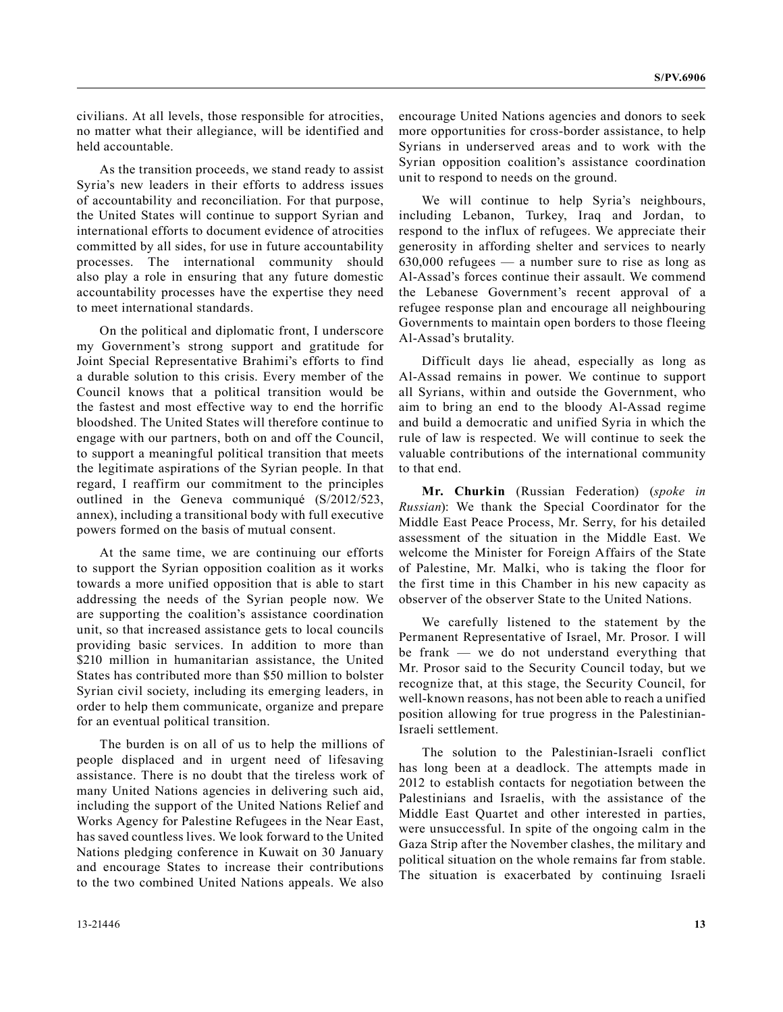civilians. At all levels, those responsible for atrocities, no matter what their allegiance, will be identified and held accountable.

As the transition proceeds, we stand ready to assist Syria's new leaders in their efforts to address issues of accountability and reconciliation. For that purpose, the United States will continue to support Syrian and international efforts to document evidence of atrocities committed by all sides, for use in future accountability processes. The international community should also play a role in ensuring that any future domestic accountability processes have the expertise they need to meet international standards.

On the political and diplomatic front, I underscore my Government's strong support and gratitude for Joint Special Representative Brahimi's efforts to find a durable solution to this crisis. Every member of the Council knows that a political transition would be the fastest and most effective way to end the horrific bloodshed. The United States will therefore continue to engage with our partners, both on and off the Council, to support a meaningful political transition that meets the legitimate aspirations of the Syrian people. In that regard, I reaffirm our commitment to the principles outlined in the Geneva communiqué (S/2012/523, annex), including a transitional body with full executive powers formed on the basis of mutual consent.

At the same time, we are continuing our efforts to support the Syrian opposition coalition as it works towards a more unified opposition that is able to start addressing the needs of the Syrian people now. We are supporting the coalition's assistance coordination unit, so that increased assistance gets to local councils providing basic services. In addition to more than \$210 million in humanitarian assistance, the United States has contributed more than \$50 million to bolster Syrian civil society, including its emerging leaders, in order to help them communicate, organize and prepare for an eventual political transition.

The burden is on all of us to help the millions of people displaced and in urgent need of lifesaving assistance. There is no doubt that the tireless work of many United Nations agencies in delivering such aid, including the support of the United Nations Relief and Works Agency for Palestine Refugees in the Near East, has saved countless lives. We look forward to the United Nations pledging conference in Kuwait on 30 January and encourage States to increase their contributions to the two combined United Nations appeals. We also

encourage United Nations agencies and donors to seek more opportunities for cross-border assistance, to help Syrians in underserved areas and to work with the Syrian opposition coalition's assistance coordination unit to respond to needs on the ground.

We will continue to help Syria's neighbours, including Lebanon, Turkey, Iraq and Jordan, to respond to the influx of refugees. We appreciate their generosity in affording shelter and services to nearly 630,000 refugees — a number sure to rise as long as Al-Assad's forces continue their assault. We commend the Lebanese Government's recent approval of a refugee response plan and encourage all neighbouring Governments to maintain open borders to those fleeing Al-Assad's brutality.

Difficult days lie ahead, especially as long as Al-Assad remains in power. We continue to support all Syrians, within and outside the Government, who aim to bring an end to the bloody Al-Assad regime and build a democratic and unified Syria in which the rule of law is respected. We will continue to seek the valuable contributions of the international community to that end.

**Mr. Churkin** (Russian Federation) (*spoke in Russian*): We thank the Special Coordinator for the Middle East Peace Process, Mr. Serry, for his detailed assessment of the situation in the Middle East. We welcome the Minister for Foreign Affairs of the State of Palestine, Mr. Malki, who is taking the floor for the first time in this Chamber in his new capacity as observer of the observer State to the United Nations.

We carefully listened to the statement by the Permanent Representative of Israel, Mr. Prosor. I will be frank — we do not understand everything that Mr. Prosor said to the Security Council today, but we recognize that, at this stage, the Security Council, for well-known reasons, has not been able to reach a unified position allowing for true progress in the Palestinian-Israeli settlement.

The solution to the Palestinian-Israeli conflict has long been at a deadlock. The attempts made in 2012 to establish contacts for negotiation between the Palestinians and Israelis, with the assistance of the Middle East Quartet and other interested in parties, were unsuccessful. In spite of the ongoing calm in the Gaza Strip after the November clashes, the military and political situation on the whole remains far from stable. The situation is exacerbated by continuing Israeli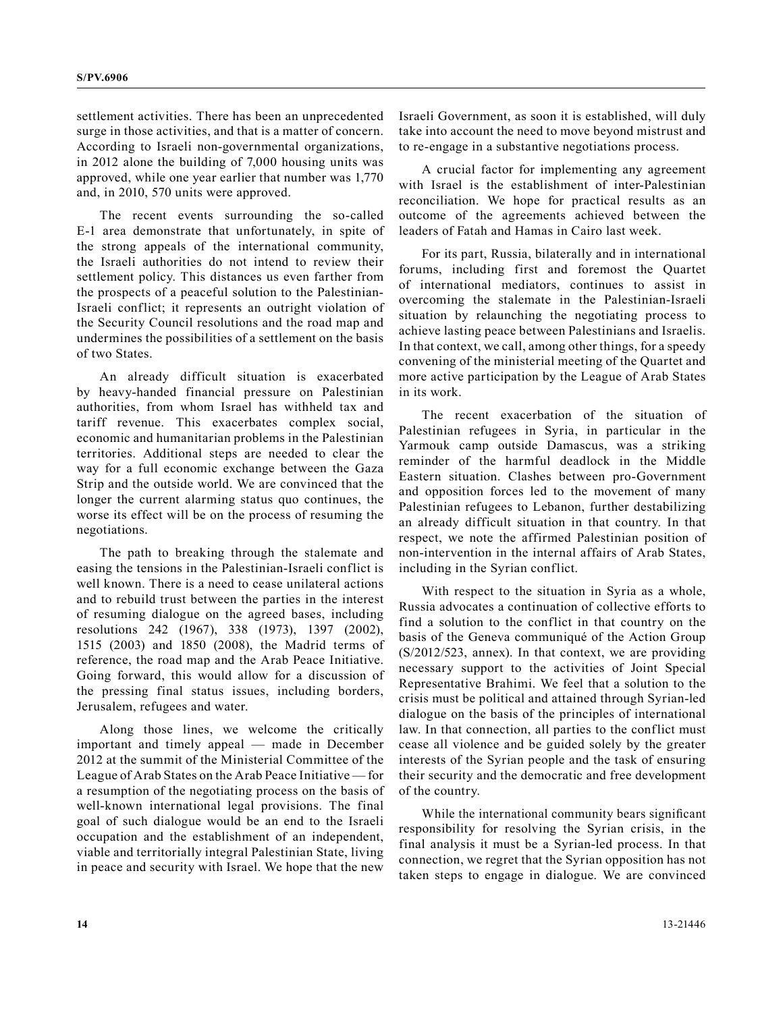settlement activities. There has been an unprecedented surge in those activities, and that is a matter of concern. According to Israeli non-governmental organizations, in 2012 alone the building of 7,000 housing units was approved, while one year earlier that number was 1,770 and, in 2010, 570 units were approved.

The recent events surrounding the so-called E-1 area demonstrate that unfortunately, in spite of the strong appeals of the international community, the Israeli authorities do not intend to review their settlement policy. This distances us even farther from the prospects of a peaceful solution to the Palestinian-Israeli conflict; it represents an outright violation of the Security Council resolutions and the road map and undermines the possibilities of a settlement on the basis of two States.

An already difficult situation is exacerbated by heavy-handed financial pressure on Palestinian authorities, from whom Israel has withheld tax and tariff revenue. This exacerbates complex social, economic and humanitarian problems in the Palestinian territories. Additional steps are needed to clear the way for a full economic exchange between the Gaza Strip and the outside world. We are convinced that the longer the current alarming status quo continues, the worse its effect will be on the process of resuming the negotiations.

The path to breaking through the stalemate and easing the tensions in the Palestinian-Israeli conflict is well known. There is a need to cease unilateral actions and to rebuild trust between the parties in the interest of resuming dialogue on the agreed bases, including resolutions 242 (1967), 338 (1973), 1397 (2002), 1515 (2003) and 1850 (2008), the Madrid terms of reference, the road map and the Arab Peace Initiative. Going forward, this would allow for a discussion of the pressing final status issues, including borders, Jerusalem, refugees and water.

Along those lines, we welcome the critically important and timely appeal — made in December 2012 at the summit of the Ministerial Committee of the League of Arab States on the Arab Peace Initiative — for a resumption of the negotiating process on the basis of well-known international legal provisions. The final goal of such dialogue would be an end to the Israeli occupation and the establishment of an independent, viable and territorially integral Palestinian State, living in peace and security with Israel. We hope that the new

Israeli Government, as soon it is established, will duly take into account the need to move beyond mistrust and to re-engage in a substantive negotiations process.

A crucial factor for implementing any agreement with Israel is the establishment of inter-Palestinian reconciliation. We hope for practical results as an outcome of the agreements achieved between the leaders of Fatah and Hamas in Cairo last week.

For its part, Russia, bilaterally and in international forums, including first and foremost the Quartet of international mediators, continues to assist in overcoming the stalemate in the Palestinian-Israeli situation by relaunching the negotiating process to achieve lasting peace between Palestinians and Israelis. In that context, we call, among other things, for a speedy convening of the ministerial meeting of the Quartet and more active participation by the League of Arab States in its work.

The recent exacerbation of the situation of Palestinian refugees in Syria, in particular in the Yarmouk camp outside Damascus, was a striking reminder of the harmful deadlock in the Middle Eastern situation. Clashes between pro-Government and opposition forces led to the movement of many Palestinian refugees to Lebanon, further destabilizing an already difficult situation in that country. In that respect, we note the affirmed Palestinian position of non-intervention in the internal affairs of Arab States, including in the Syrian conflict.

With respect to the situation in Syria as a whole, Russia advocates a continuation of collective efforts to find a solution to the conflict in that country on the basis of the Geneva communiqué of the Action Group (S/2012/523, annex). In that context, we are providing necessary support to the activities of Joint Special Representative Brahimi. We feel that a solution to the crisis must be political and attained through Syrian-led dialogue on the basis of the principles of international law. In that connection, all parties to the conflict must cease all violence and be guided solely by the greater interests of the Syrian people and the task of ensuring their security and the democratic and free development of the country.

While the international community bears significant responsibility for resolving the Syrian crisis, in the final analysis it must be a Syrian-led process. In that connection, we regret that the Syrian opposition has not taken steps to engage in dialogue. We are convinced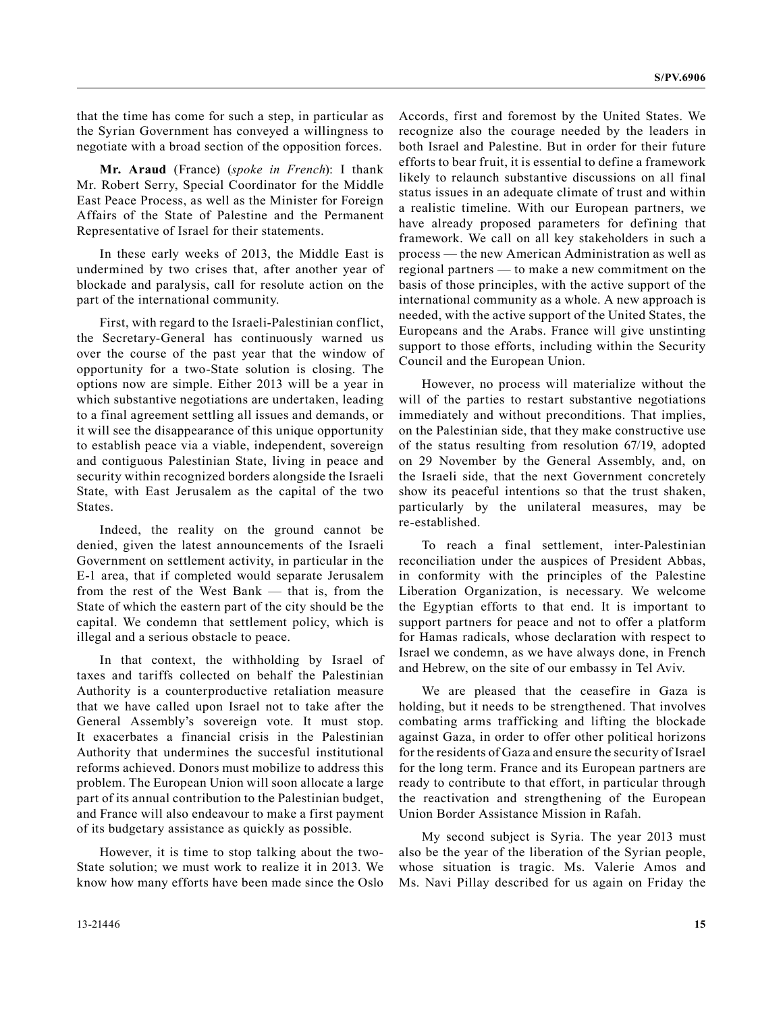that the time has come for such a step, in particular as the Syrian Government has conveyed a willingness to negotiate with a broad section of the opposition forces.

**Mr. Araud** (France) (*spoke in French*): I thank Mr. Robert Serry, Special Coordinator for the Middle East Peace Process, as well as the Minister for Foreign Affairs of the State of Palestine and the Permanent Representative of Israel for their statements.

In these early weeks of 2013, the Middle East is undermined by two crises that, after another year of blockade and paralysis, call for resolute action on the part of the international community.

First, with regard to the Israeli-Palestinian conflict, the Secretary-General has continuously warned us over the course of the past year that the window of opportunity for a two-State solution is closing. The options now are simple. Either 2013 will be a year in which substantive negotiations are undertaken, leading to a final agreement settling all issues and demands, or it will see the disappearance of this unique opportunity to establish peace via a viable, independent, sovereign and contiguous Palestinian State, living in peace and security within recognized borders alongside the Israeli State, with East Jerusalem as the capital of the two States.

Indeed, the reality on the ground cannot be denied, given the latest announcements of the Israeli Government on settlement activity, in particular in the E-1 area, that if completed would separate Jerusalem from the rest of the West Bank — that is, from the State of which the eastern part of the city should be the capital. We condemn that settlement policy, which is illegal and a serious obstacle to peace.

In that context, the withholding by Israel of taxes and tariffs collected on behalf the Palestinian Authority is a counterproductive retaliation measure that we have called upon Israel not to take after the General Assembly's sovereign vote. It must stop. It exacerbates a financial crisis in the Palestinian Authority that undermines the succesful institutional reforms achieved. Donors must mobilize to address this problem. The European Union will soon allocate a large part of its annual contribution to the Palestinian budget, and France will also endeavour to make a first payment of its budgetary assistance as quickly as possible.

However, it is time to stop talking about the two-State solution; we must work to realize it in 2013. We know how many efforts have been made since the Oslo Accords, first and foremost by the United States. We recognize also the courage needed by the leaders in both Israel and Palestine. But in order for their future efforts to bear fruit, it is essential to define a framework likely to relaunch substantive discussions on all final status issues in an adequate climate of trust and within a realistic timeline. With our European partners, we have already proposed parameters for defining that framework. We call on all key stakeholders in such a process — the new American Administration as well as regional partners — to make a new commitment on the basis of those principles, with the active support of the international community as a whole. A new approach is needed, with the active support of the United States, the Europeans and the Arabs. France will give unstinting support to those efforts, including within the Security Council and the European Union.

However, no process will materialize without the will of the parties to restart substantive negotiations immediately and without preconditions. That implies, on the Palestinian side, that they make constructive use of the status resulting from resolution 67/19, adopted on 29 November by the General Assembly, and, on the Israeli side, that the next Government concretely show its peaceful intentions so that the trust shaken, particularly by the unilateral measures, may be re-established.

To reach a final settlement, inter-Palestinian reconciliation under the auspices of President Abbas, in conformity with the principles of the Palestine Liberation Organization, is necessary. We welcome the Egyptian efforts to that end. It is important to support partners for peace and not to offer a platform for Hamas radicals, whose declaration with respect to Israel we condemn, as we have always done, in French and Hebrew, on the site of our embassy in Tel Aviv.

We are pleased that the ceasefire in Gaza is holding, but it needs to be strengthened. That involves combating arms trafficking and lifting the blockade against Gaza, in order to offer other political horizons for the residents of Gaza and ensure the security of Israel for the long term. France and its European partners are ready to contribute to that effort, in particular through the reactivation and strengthening of the European Union Border Assistance Mission in Rafah.

My second subject is Syria. The year 2013 must also be the year of the liberation of the Syrian people, whose situation is tragic. Ms. Valerie Amos and Ms. Navi Pillay described for us again on Friday the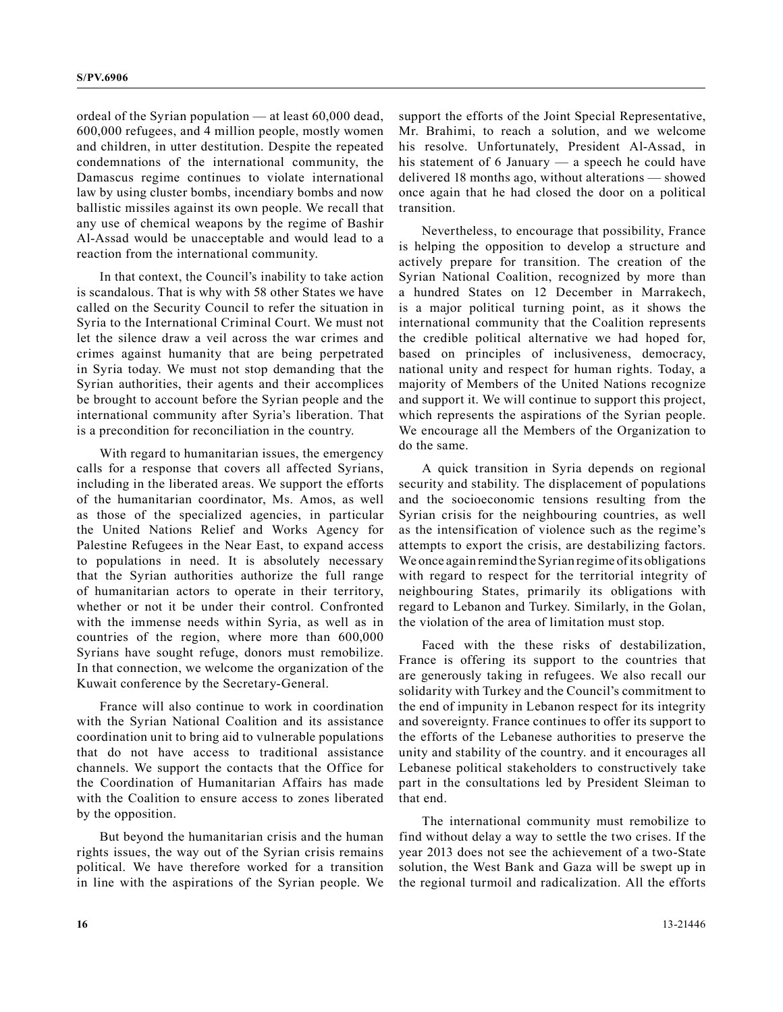ordeal of the Syrian population — at least 60,000 dead, 600,000 refugees, and 4 million people, mostly women and children, in utter destitution. Despite the repeated condemnations of the international community, the Damascus regime continues to violate international law by using cluster bombs, incendiary bombs and now ballistic missiles against its own people. We recall that any use of chemical weapons by the regime of Bashir Al-Assad would be unacceptable and would lead to a reaction from the international community.

In that context, the Council's inability to take action is scandalous. That is why with 58 other States we have called on the Security Council to refer the situation in Syria to the International Criminal Court. We must not let the silence draw a veil across the war crimes and crimes against humanity that are being perpetrated in Syria today. We must not stop demanding that the Syrian authorities, their agents and their accomplices be brought to account before the Syrian people and the international community after Syria's liberation. That is a precondition for reconciliation in the country.

With regard to humanitarian issues, the emergency calls for a response that covers all affected Syrians, including in the liberated areas. We support the efforts of the humanitarian coordinator, Ms. Amos, as well as those of the specialized agencies, in particular the United Nations Relief and Works Agency for Palestine Refugees in the Near East, to expand access to populations in need. It is absolutely necessary that the Syrian authorities authorize the full range of humanitarian actors to operate in their territory, whether or not it be under their control. Confronted with the immense needs within Syria, as well as in countries of the region, where more than 600,000 Syrians have sought refuge, donors must remobilize. In that connection, we welcome the organization of the Kuwait conference by the Secretary-General.

France will also continue to work in coordination with the Syrian National Coalition and its assistance coordination unit to bring aid to vulnerable populations that do not have access to traditional assistance channels. We support the contacts that the Office for the Coordination of Humanitarian Affairs has made with the Coalition to ensure access to zones liberated by the opposition.

But beyond the humanitarian crisis and the human rights issues, the way out of the Syrian crisis remains political. We have therefore worked for a transition in line with the aspirations of the Syrian people. We support the efforts of the Joint Special Representative, Mr. Brahimi, to reach a solution, and we welcome his resolve. Unfortunately, President Al-Assad, in his statement of 6 January — a speech he could have delivered 18 months ago, without alterations — showed once again that he had closed the door on a political transition.

Nevertheless, to encourage that possibility, France is helping the opposition to develop a structure and actively prepare for transition. The creation of the Syrian National Coalition, recognized by more than a hundred States on 12 December in Marrakech, is a major political turning point, as it shows the international community that the Coalition represents the credible political alternative we had hoped for, based on principles of inclusiveness, democracy, national unity and respect for human rights. Today, a majority of Members of the United Nations recognize and support it. We will continue to support this project, which represents the aspirations of the Syrian people. We encourage all the Members of the Organization to do the same.

A quick transition in Syria depends on regional security and stability. The displacement of populations and the socioeconomic tensions resulting from the Syrian crisis for the neighbouring countries, as well as the intensification of violence such as the regime's attempts to export the crisis, are destabilizing factors. We once again remind the Syrian regime of its obligations with regard to respect for the territorial integrity of neighbouring States, primarily its obligations with regard to Lebanon and Turkey. Similarly, in the Golan, the violation of the area of limitation must stop.

Faced with the these risks of destabilization, France is offering its support to the countries that are generously taking in refugees. We also recall our solidarity with Turkey and the Council's commitment to the end of impunity in Lebanon respect for its integrity and sovereignty. France continues to offer its support to the efforts of the Lebanese authorities to preserve the unity and stability of the country. and it encourages all Lebanese political stakeholders to constructively take part in the consultations led by President Sleiman to that end.

The international community must remobilize to find without delay a way to settle the two crises. If the year 2013 does not see the achievement of a two-State solution, the West Bank and Gaza will be swept up in the regional turmoil and radicalization. All the efforts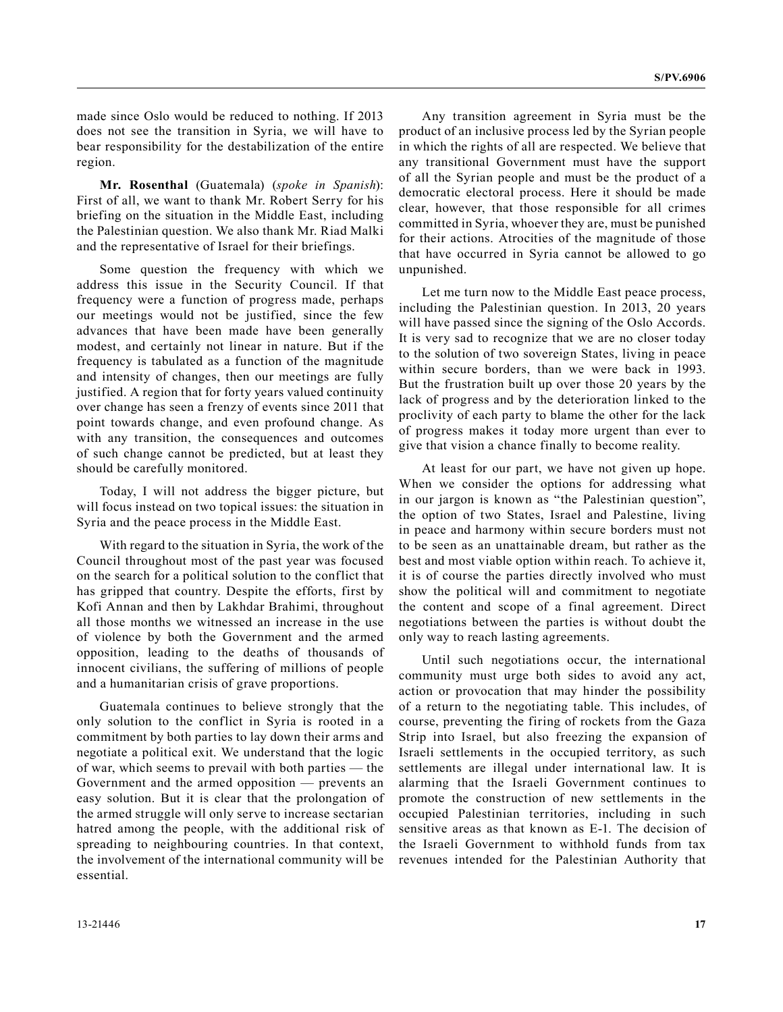made since Oslo would be reduced to nothing. If 2013 does not see the transition in Syria, we will have to bear responsibility for the destabilization of the entire region.

**Mr. Rosenthal** (Guatemala) (*spoke in Spanish*): First of all, we want to thank Mr. Robert Serry for his briefing on the situation in the Middle East, including the Palestinian question. We also thank Mr. Riad Malki and the representative of Israel for their briefings.

Some question the frequency with which we address this issue in the Security Council. If that frequency were a function of progress made, perhaps our meetings would not be justified, since the few advances that have been made have been generally modest, and certainly not linear in nature. But if the frequency is tabulated as a function of the magnitude and intensity of changes, then our meetings are fully justified. A region that for forty years valued continuity over change has seen a frenzy of events since 2011 that point towards change, and even profound change. As with any transition, the consequences and outcomes of such change cannot be predicted, but at least they should be carefully monitored.

Today, I will not address the bigger picture, but will focus instead on two topical issues: the situation in Syria and the peace process in the Middle East.

With regard to the situation in Syria, the work of the Council throughout most of the past year was focused on the search for a political solution to the conflict that has gripped that country. Despite the efforts, first by Kofi Annan and then by Lakhdar Brahimi, throughout all those months we witnessed an increase in the use of violence by both the Government and the armed opposition, leading to the deaths of thousands of innocent civilians, the suffering of millions of people and a humanitarian crisis of grave proportions.

Guatemala continues to believe strongly that the only solution to the conflict in Syria is rooted in a commitment by both parties to lay down their arms and negotiate a political exit. We understand that the logic of war, which seems to prevail with both parties — the Government and the armed opposition — prevents an easy solution. But it is clear that the prolongation of the armed struggle will only serve to increase sectarian hatred among the people, with the additional risk of spreading to neighbouring countries. In that context, the involvement of the international community will be essential.

Any transition agreement in Syria must be the product of an inclusive process led by the Syrian people in which the rights of all are respected. We believe that any transitional Government must have the support of all the Syrian people and must be the product of a democratic electoral process. Here it should be made clear, however, that those responsible for all crimes committed in Syria, whoever they are, must be punished for their actions. Atrocities of the magnitude of those that have occurred in Syria cannot be allowed to go unpunished.

Let me turn now to the Middle East peace process, including the Palestinian question. In 2013, 20 years will have passed since the signing of the Oslo Accords. It is very sad to recognize that we are no closer today to the solution of two sovereign States, living in peace within secure borders, than we were back in 1993. But the frustration built up over those 20 years by the lack of progress and by the deterioration linked to the proclivity of each party to blame the other for the lack of progress makes it today more urgent than ever to give that vision a chance finally to become reality.

At least for our part, we have not given up hope. When we consider the options for addressing what in our jargon is known as "the Palestinian question", the option of two States, Israel and Palestine, living in peace and harmony within secure borders must not to be seen as an unattainable dream, but rather as the best and most viable option within reach. To achieve it, it is of course the parties directly involved who must show the political will and commitment to negotiate the content and scope of a final agreement. Direct negotiations between the parties is without doubt the only way to reach lasting agreements.

Until such negotiations occur, the international community must urge both sides to avoid any act, action or provocation that may hinder the possibility of a return to the negotiating table. This includes, of course, preventing the firing of rockets from the Gaza Strip into Israel, but also freezing the expansion of Israeli settlements in the occupied territory, as such settlements are illegal under international law. It is alarming that the Israeli Government continues to promote the construction of new settlements in the occupied Palestinian territories, including in such sensitive areas as that known as E-1. The decision of the Israeli Government to withhold funds from tax revenues intended for the Palestinian Authority that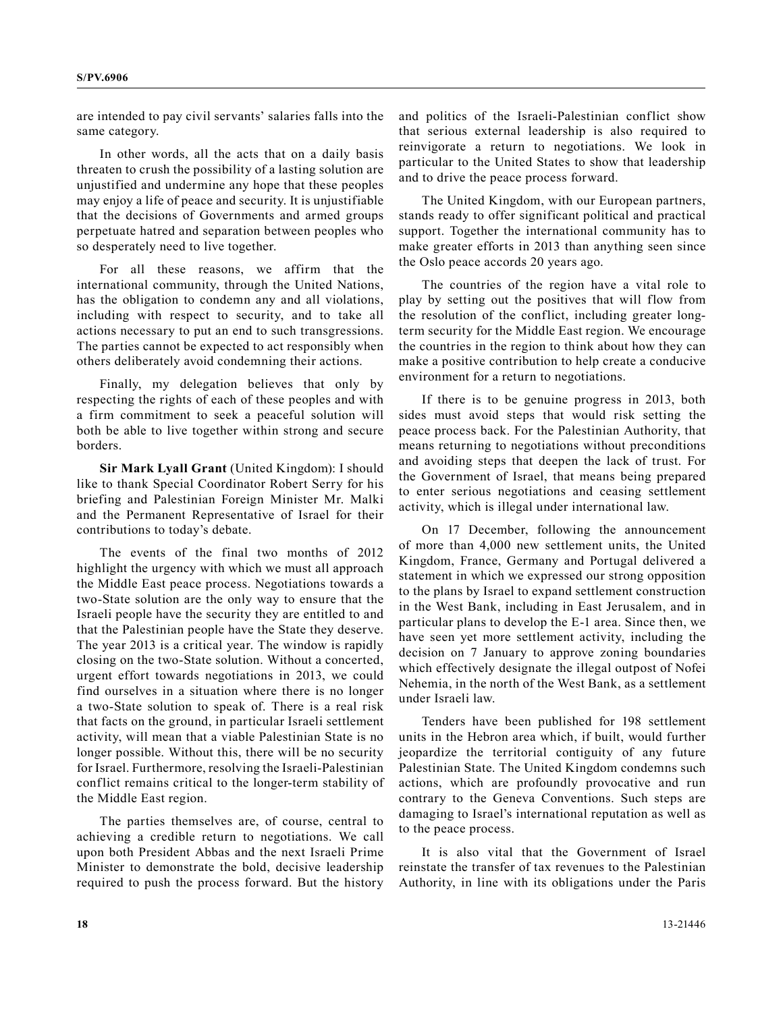are intended to pay civil servants' salaries falls into the same category.

In other words, all the acts that on a daily basis threaten to crush the possibility of a lasting solution are unjustified and undermine any hope that these peoples may enjoy a life of peace and security. It is unjustifiable that the decisions of Governments and armed groups perpetuate hatred and separation between peoples who so desperately need to live together.

For all these reasons, we affirm that the international community, through the United Nations, has the obligation to condemn any and all violations, including with respect to security, and to take all actions necessary to put an end to such transgressions. The parties cannot be expected to act responsibly when others deliberately avoid condemning their actions.

Finally, my delegation believes that only by respecting the rights of each of these peoples and with a firm commitment to seek a peaceful solution will both be able to live together within strong and secure borders.

**Sir Mark Lyall Grant** (United Kingdom): I should like to thank Special Coordinator Robert Serry for his briefing and Palestinian Foreign Minister Mr. Malki and the Permanent Representative of Israel for their contributions to today's debate.

The events of the final two months of 2012 highlight the urgency with which we must all approach the Middle East peace process. Negotiations towards a two-State solution are the only way to ensure that the Israeli people have the security they are entitled to and that the Palestinian people have the State they deserve. The year 2013 is a critical year. The window is rapidly closing on the two-State solution. Without a concerted, urgent effort towards negotiations in 2013, we could find ourselves in a situation where there is no longer a two-State solution to speak of. There is a real risk that facts on the ground, in particular Israeli settlement activity, will mean that a viable Palestinian State is no longer possible. Without this, there will be no security for Israel. Furthermore, resolving the Israeli-Palestinian conflict remains critical to the longer-term stability of the Middle East region.

The parties themselves are, of course, central to achieving a credible return to negotiations. We call upon both President Abbas and the next Israeli Prime Minister to demonstrate the bold, decisive leadership required to push the process forward. But the history and politics of the Israeli-Palestinian conflict show that serious external leadership is also required to reinvigorate a return to negotiations. We look in particular to the United States to show that leadership and to drive the peace process forward.

The United Kingdom, with our European partners, stands ready to offer significant political and practical support. Together the international community has to make greater efforts in 2013 than anything seen since the Oslo peace accords 20 years ago.

The countries of the region have a vital role to play by setting out the positives that will flow from the resolution of the conflict, including greater longterm security for the Middle East region. We encourage the countries in the region to think about how they can make a positive contribution to help create a conducive environment for a return to negotiations.

If there is to be genuine progress in 2013, both sides must avoid steps that would risk setting the peace process back. For the Palestinian Authority, that means returning to negotiations without preconditions and avoiding steps that deepen the lack of trust. For the Government of Israel, that means being prepared to enter serious negotiations and ceasing settlement activity, which is illegal under international law.

On 17 December, following the announcement of more than 4,000 new settlement units, the United Kingdom, France, Germany and Portugal delivered a statement in which we expressed our strong opposition to the plans by Israel to expand settlement construction in the West Bank, including in East Jerusalem, and in particular plans to develop the E-1 area. Since then, we have seen yet more settlement activity, including the decision on 7 January to approve zoning boundaries which effectively designate the illegal outpost of Nofei Nehemia, in the north of the West Bank, as a settlement under Israeli law.

Tenders have been published for 198 settlement units in the Hebron area which, if built, would further jeopardize the territorial contiguity of any future Palestinian State. The United Kingdom condemns such actions, which are profoundly provocative and run contrary to the Geneva Conventions. Such steps are damaging to Israel's international reputation as well as to the peace process.

It is also vital that the Government of Israel reinstate the transfer of tax revenues to the Palestinian Authority, in line with its obligations under the Paris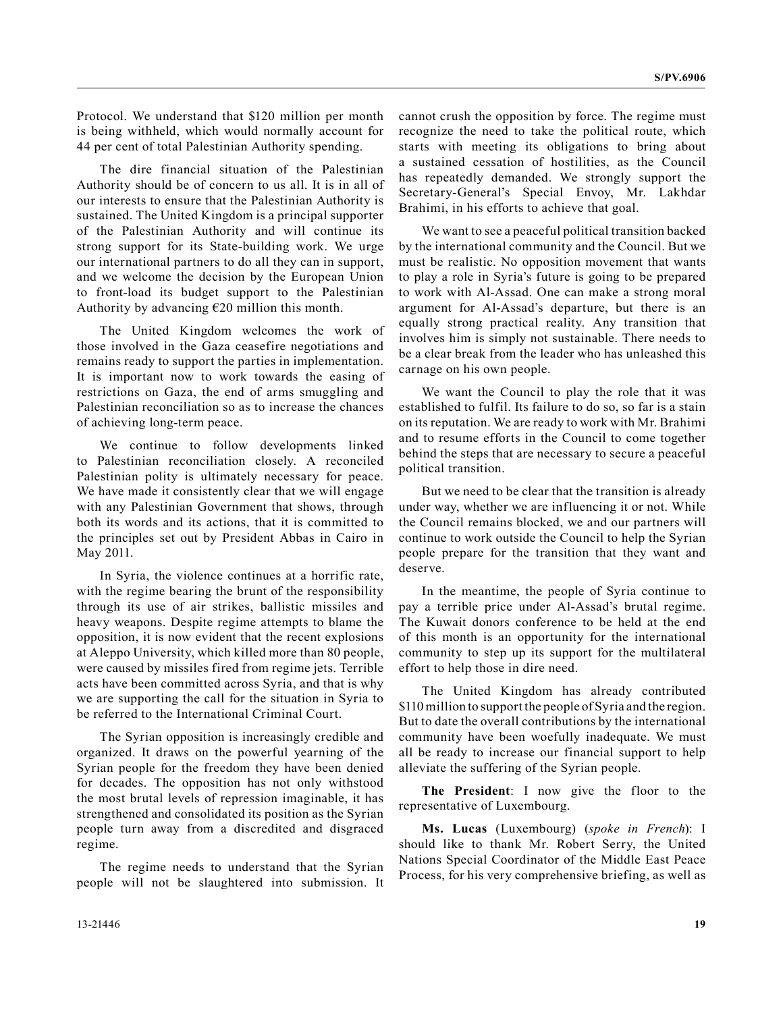Protocol. We understand that \$120 million per month is being withheld, which would normally account for 44 per cent of total Palestinian Authority spending.

The dire financial situation of the Palestinian Authority should be of concern to us all. It is in all of our interests to ensure that the Palestinian Authority is sustained. The United Kingdom is a principal supporter of the Palestinian Authority and will continue its strong support for its State-building work. We urge our international partners to do all they can in support, and we welcome the decision by the European Union to front-load its budget support to the Palestinian Authority by advancing  $E20$  million this month.

The United Kingdom welcomes the work of those involved in the Gaza ceasefire negotiations and remains ready to support the parties in implementation. It is important now to work towards the easing of restrictions on Gaza, the end of arms smuggling and Palestinian reconciliation so as to increase the chances of achieving long-term peace.

We continue to follow developments linked to Palestinian reconciliation closely. A reconciled Palestinian polity is ultimately necessary for peace. We have made it consistently clear that we will engage with any Palestinian Government that shows, through both its words and its actions, that it is committed to the principles set out by President Abbas in Cairo in May 2011.

In Syria, the violence continues at a horrific rate, with the regime bearing the brunt of the responsibility through its use of air strikes, ballistic missiles and heavy weapons. Despite regime attempts to blame the opposition, it is now evident that the recent explosions at Aleppo University, which killed more than 80 people, were caused by missiles fired from regime jets. Terrible acts have been committed across Syria, and that is why we are supporting the call for the situation in Syria to be referred to the International Criminal Court.

The Syrian opposition is increasingly credible and organized. It draws on the powerful yearning of the Syrian people for the freedom they have been denied for decades. The opposition has not only withstood the most brutal levels of repression imaginable, it has strengthened and consolidated its position as the Syrian people turn away from a discredited and disgraced regime.

The regime needs to understand that the Syrian people will not be slaughtered into submission. It cannot crush the opposition by force. The regime must recognize the need to take the political route, which starts with meeting its obligations to bring about a sustained cessation of hostilities, as the Council has repeatedly demanded. We strongly support the Secretary-General's Special Envoy, Mr. Lakhdar Brahimi, in his efforts to achieve that goal.

We want to see a peaceful political transition backed by the international community and the Council. But we must be realistic. No opposition movement that wants to play a role in Syria's future is going to be prepared to work with Al-Assad. One can make a strong moral argument for Al-Assad's departure, but there is an equally strong practical reality. Any transition that involves him is simply not sustainable. There needs to be a clear break from the leader who has unleashed this carnage on his own people.

We want the Council to play the role that it was established to fulfil. Its failure to do so, so far is a stain on its reputation. We are ready to work with Mr. Brahimi and to resume efforts in the Council to come together behind the steps that are necessary to secure a peaceful political transition.

But we need to be clear that the transition is already under way, whether we are influencing it or not. While the Council remains blocked, we and our partners will continue to work outside the Council to help the Syrian people prepare for the transition that they want and deserve.

In the meantime, the people of Syria continue to pay a terrible price under Al-Assad's brutal regime. The Kuwait donors conference to be held at the end of this month is an opportunity for the international community to step up its support for the multilateral effort to help those in dire need.

The United Kingdom has already contributed \$110 million to support the people of Syria and the region. But to date the overall contributions by the international community have been woefully inadequate. We must all be ready to increase our financial support to help alleviate the suffering of the Syrian people.

**The President**: I now give the floor to the representative of Luxembourg.

**Ms. Lucas** (Luxembourg) (*spoke in French*): I should like to thank Mr. Robert Serry, the United Nations Special Coordinator of the Middle East Peace Process, for his very comprehensive briefing, as well as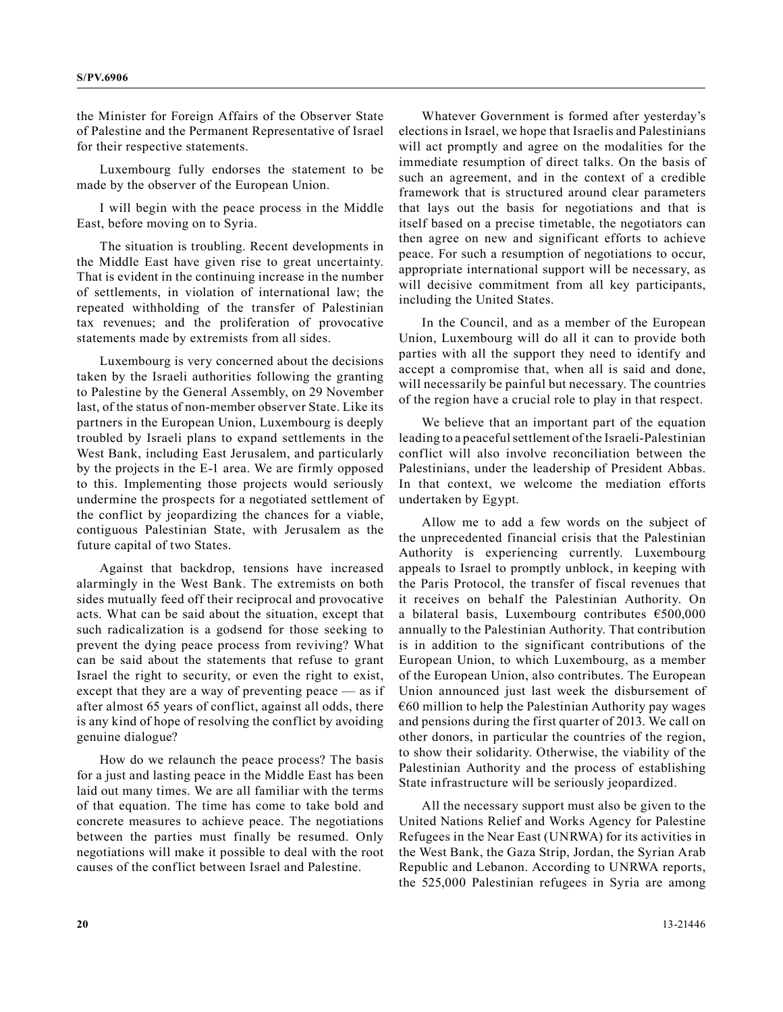the Minister for Foreign Affairs of the Observer State of Palestine and the Permanent Representative of Israel for their respective statements.

Luxembourg fully endorses the statement to be made by the observer of the European Union.

I will begin with the peace process in the Middle East, before moving on to Syria.

The situation is troubling. Recent developments in the Middle East have given rise to great uncertainty. That is evident in the continuing increase in the number of settlements, in violation of international law; the repeated withholding of the transfer of Palestinian tax revenues; and the proliferation of provocative statements made by extremists from all sides.

Luxembourg is very concerned about the decisions taken by the Israeli authorities following the granting to Palestine by the General Assembly, on 29 November last, of the status of non-member observer State. Like its partners in the European Union, Luxembourg is deeply troubled by Israeli plans to expand settlements in the West Bank, including East Jerusalem, and particularly by the projects in the E-1 area. We are firmly opposed to this. Implementing those projects would seriously undermine the prospects for a negotiated settlement of the conflict by jeopardizing the chances for a viable, contiguous Palestinian State, with Jerusalem as the future capital of two States.

Against that backdrop, tensions have increased alarmingly in the West Bank. The extremists on both sides mutually feed off their reciprocal and provocative acts. What can be said about the situation, except that such radicalization is a godsend for those seeking to prevent the dying peace process from reviving? What can be said about the statements that refuse to grant Israel the right to security, or even the right to exist, except that they are a way of preventing peace — as if after almost 65 years of conflict, against all odds, there is any kind of hope of resolving the conflict by avoiding genuine dialogue?

How do we relaunch the peace process? The basis for a just and lasting peace in the Middle East has been laid out many times. We are all familiar with the terms of that equation. The time has come to take bold and concrete measures to achieve peace. The negotiations between the parties must finally be resumed. Only negotiations will make it possible to deal with the root causes of the conflict between Israel and Palestine.

Whatever Government is formed after yesterday's elections in Israel, we hope that Israelis and Palestinians will act promptly and agree on the modalities for the immediate resumption of direct talks. On the basis of such an agreement, and in the context of a credible framework that is structured around clear parameters that lays out the basis for negotiations and that is itself based on a precise timetable, the negotiators can then agree on new and significant efforts to achieve peace. For such a resumption of negotiations to occur, appropriate international support will be necessary, as will decisive commitment from all key participants, including the United States.

In the Council, and as a member of the European Union, Luxembourg will do all it can to provide both parties with all the support they need to identify and accept a compromise that, when all is said and done, will necessarily be painful but necessary. The countries of the region have a crucial role to play in that respect.

We believe that an important part of the equation leading to a peaceful settlement of the Israeli-Palestinian conflict will also involve reconciliation between the Palestinians, under the leadership of President Abbas. In that context, we welcome the mediation efforts undertaken by Egypt.

Allow me to add a few words on the subject of the unprecedented financial crisis that the Palestinian Authority is experiencing currently. Luxembourg appeals to Israel to promptly unblock, in keeping with the Paris Protocol, the transfer of fiscal revenues that it receives on behalf the Palestinian Authority. On a bilateral basis, Luxembourg contributes €500,000 annually to the Palestinian Authority. That contribution is in addition to the significant contributions of the European Union, to which Luxembourg, as a member of the European Union, also contributes. The European Union announced just last week the disbursement of  $€60$  million to help the Palestinian Authority pay wages and pensions during the first quarter of 2013. We call on other donors, in particular the countries of the region, to show their solidarity. Otherwise, the viability of the Palestinian Authority and the process of establishing State infrastructure will be seriously jeopardized.

All the necessary support must also be given to the United Nations Relief and Works Agency for Palestine Refugees in the Near East (UNRWA) for its activities in the West Bank, the Gaza Strip, Jordan, the Syrian Arab Republic and Lebanon. According to UNRWA reports, the 525,000 Palestinian refugees in Syria are among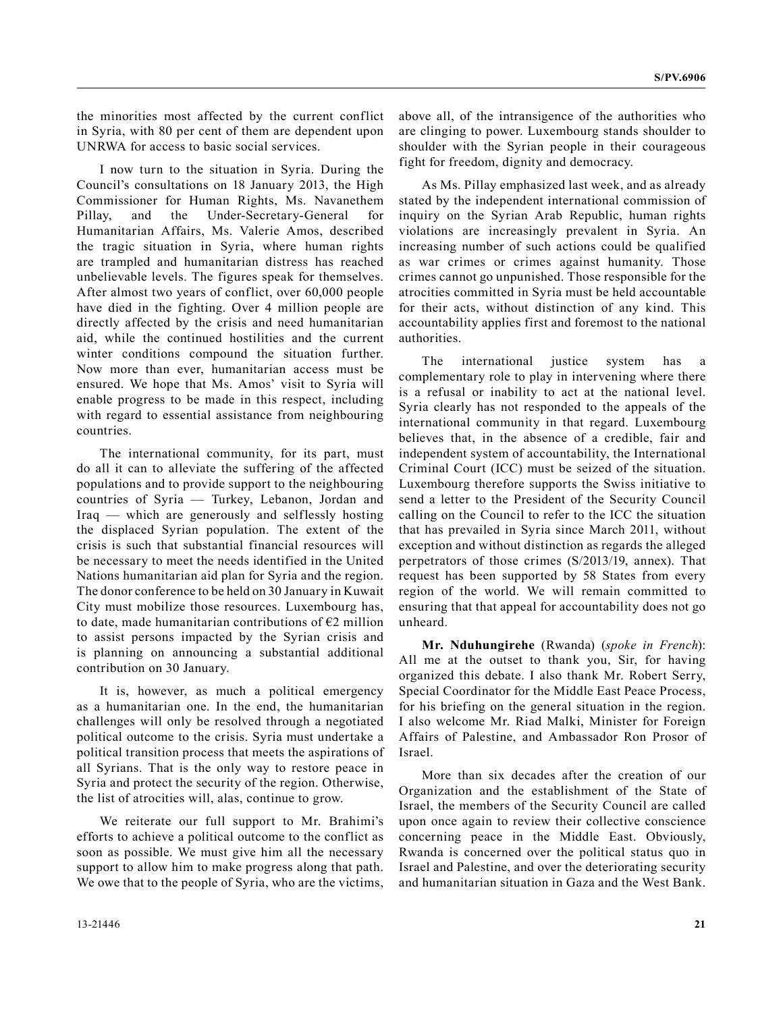the minorities most affected by the current conflict in Syria, with 80 per cent of them are dependent upon UNRWA for access to basic social services.

I now turn to the situation in Syria. During the Council's consultations on 18 January 2013, the High Commissioner for Human Rights, Ms. Navanethem Pillay, and the Under-Secretary-General for Humanitarian Affairs, Ms. Valerie Amos, described the tragic situation in Syria, where human rights are trampled and humanitarian distress has reached unbelievable levels. The figures speak for themselves. After almost two years of conflict, over 60,000 people have died in the fighting. Over 4 million people are directly affected by the crisis and need humanitarian aid, while the continued hostilities and the current winter conditions compound the situation further. Now more than ever, humanitarian access must be ensured. We hope that Ms. Amos' visit to Syria will enable progress to be made in this respect, including with regard to essential assistance from neighbouring countries.

The international community, for its part, must do all it can to alleviate the suffering of the affected populations and to provide support to the neighbouring countries of Syria — Turkey, Lebanon, Jordan and Iraq — which are generously and selflessly hosting the displaced Syrian population. The extent of the crisis is such that substantial financial resources will be necessary to meet the needs identified in the United Nations humanitarian aid plan for Syria and the region. The donor conference to be held on 30 January in Kuwait City must mobilize those resources. Luxembourg has, to date, made humanitarian contributions of  $E2$  million to assist persons impacted by the Syrian crisis and is planning on announcing a substantial additional contribution on 30 January.

It is, however, as much a political emergency as a humanitarian one. In the end, the humanitarian challenges will only be resolved through a negotiated political outcome to the crisis. Syria must undertake a political transition process that meets the aspirations of all Syrians. That is the only way to restore peace in Syria and protect the security of the region. Otherwise, the list of atrocities will, alas, continue to grow.

We reiterate our full support to Mr. Brahimi's efforts to achieve a political outcome to the conflict as soon as possible. We must give him all the necessary support to allow him to make progress along that path. We owe that to the people of Syria, who are the victims, above all, of the intransigence of the authorities who are clinging to power. Luxembourg stands shoulder to shoulder with the Syrian people in their courageous fight for freedom, dignity and democracy.

As Ms. Pillay emphasized last week, and as already stated by the independent international commission of inquiry on the Syrian Arab Republic, human rights violations are increasingly prevalent in Syria. An increasing number of such actions could be qualified as war crimes or crimes against humanity. Those crimes cannot go unpunished. Those responsible for the atrocities committed in Syria must be held accountable for their acts, without distinction of any kind. This accountability applies first and foremost to the national authorities.

The international justice system has a complementary role to play in intervening where there is a refusal or inability to act at the national level. Syria clearly has not responded to the appeals of the international community in that regard. Luxembourg believes that, in the absence of a credible, fair and independent system of accountability, the International Criminal Court (ICC) must be seized of the situation. Luxembourg therefore supports the Swiss initiative to send a letter to the President of the Security Council calling on the Council to refer to the ICC the situation that has prevailed in Syria since March 2011, without exception and without distinction as regards the alleged perpetrators of those crimes (S/2013/19, annex). That request has been supported by 58 States from every region of the world. We will remain committed to ensuring that that appeal for accountability does not go unheard.

**Mr. Nduhungirehe** (Rwanda) (*spoke in French*): All me at the outset to thank you, Sir, for having organized this debate. I also thank Mr. Robert Serry, Special Coordinator for the Middle East Peace Process, for his briefing on the general situation in the region. I also welcome Mr. Riad Malki, Minister for Foreign Affairs of Palestine, and Ambassador Ron Prosor of Israel.

More than six decades after the creation of our Organization and the establishment of the State of Israel, the members of the Security Council are called upon once again to review their collective conscience concerning peace in the Middle East. Obviously, Rwanda is concerned over the political status quo in Israel and Palestine, and over the deteriorating security and humanitarian situation in Gaza and the West Bank.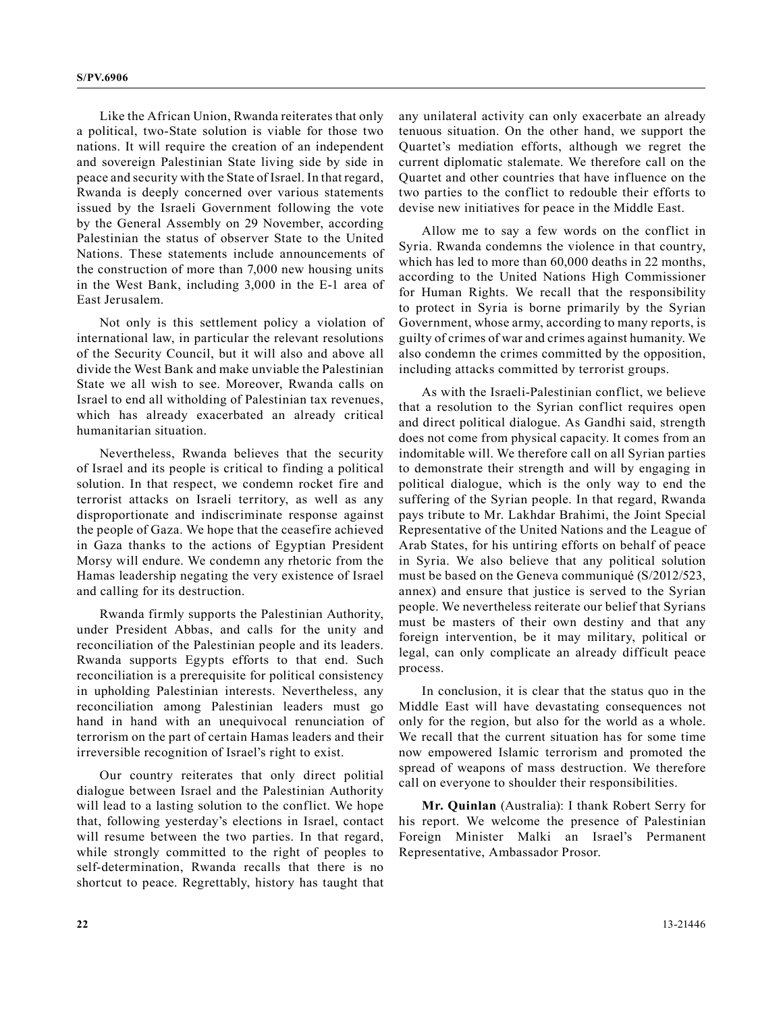Like the African Union, Rwanda reiterates that only a political, two-State solution is viable for those two nations. It will require the creation of an independent and sovereign Palestinian State living side by side in peace and security with the State of Israel. In that regard, Rwanda is deeply concerned over various statements issued by the Israeli Government following the vote by the General Assembly on 29 November, according Palestinian the status of observer State to the United Nations. These statements include announcements of the construction of more than 7,000 new housing units in the West Bank, including 3,000 in the E-1 area of East Jerusalem.

Not only is this settlement policy a violation of international law, in particular the relevant resolutions of the Security Council, but it will also and above all divide the West Bank and make unviable the Palestinian State we all wish to see. Moreover, Rwanda calls on Israel to end all witholding of Palestinian tax revenues, which has already exacerbated an already critical humanitarian situation.

Nevertheless, Rwanda believes that the security of Israel and its people is critical to finding a political solution. In that respect, we condemn rocket fire and terrorist attacks on Israeli territory, as well as any disproportionate and indiscriminate response against the people of Gaza. We hope that the ceasefire achieved in Gaza thanks to the actions of Egyptian President Morsy will endure. We condemn any rhetoric from the Hamas leadership negating the very existence of Israel and calling for its destruction.

Rwanda firmly supports the Palestinian Authority, under President Abbas, and calls for the unity and reconciliation of the Palestinian people and its leaders. Rwanda supports Egypts efforts to that end. Such reconciliation is a prerequisite for political consistency in upholding Palestinian interests. Nevertheless, any reconciliation among Palestinian leaders must go hand in hand with an unequivocal renunciation of terrorism on the part of certain Hamas leaders and their irreversible recognition of Israel's right to exist.

Our country reiterates that only direct politial dialogue between Israel and the Palestinian Authority will lead to a lasting solution to the conflict. We hope that, following yesterday's elections in Israel, contact will resume between the two parties. In that regard, while strongly committed to the right of peoples to self-determination, Rwanda recalls that there is no shortcut to peace. Regrettably, history has taught that

any unilateral activity can only exacerbate an already tenuous situation. On the other hand, we support the Quartet's mediation efforts, although we regret the current diplomatic stalemate. We therefore call on the Quartet and other countries that have influence on the two parties to the conflict to redouble their efforts to devise new initiatives for peace in the Middle East.

Allow me to say a few words on the conflict in Syria. Rwanda condemns the violence in that country, which has led to more than 60,000 deaths in 22 months, according to the United Nations High Commissioner for Human Rights. We recall that the responsibility to protect in Syria is borne primarily by the Syrian Government, whose army, according to many reports, is guilty of crimes of war and crimes against humanity. We also condemn the crimes committed by the opposition, including attacks committed by terrorist groups.

As with the Israeli-Palestinian conflict, we believe that a resolution to the Syrian conflict requires open and direct political dialogue. As Gandhi said, strength does not come from physical capacity. It comes from an indomitable will. We therefore call on all Syrian parties to demonstrate their strength and will by engaging in political dialogue, which is the only way to end the suffering of the Syrian people. In that regard, Rwanda pays tribute to Mr. Lakhdar Brahimi, the Joint Special Representative of the United Nations and the League of Arab States, for his untiring efforts on behalf of peace in Syria. We also believe that any political solution must be based on the Geneva communiqué (S/2012/523, annex) and ensure that justice is served to the Syrian people. We nevertheless reiterate our belief that Syrians must be masters of their own destiny and that any foreign intervention, be it may military, political or legal, can only complicate an already difficult peace process.

In conclusion, it is clear that the status quo in the Middle East will have devastating consequences not only for the region, but also for the world as a whole. We recall that the current situation has for some time now empowered Islamic terrorism and promoted the spread of weapons of mass destruction. We therefore call on everyone to shoulder their responsibilities.

**Mr. Quinlan** (Australia): I thank Robert Serry for his report. We welcome the presence of Palestinian Foreign Minister Malki an Israel's Permanent Representative, Ambassador Prosor.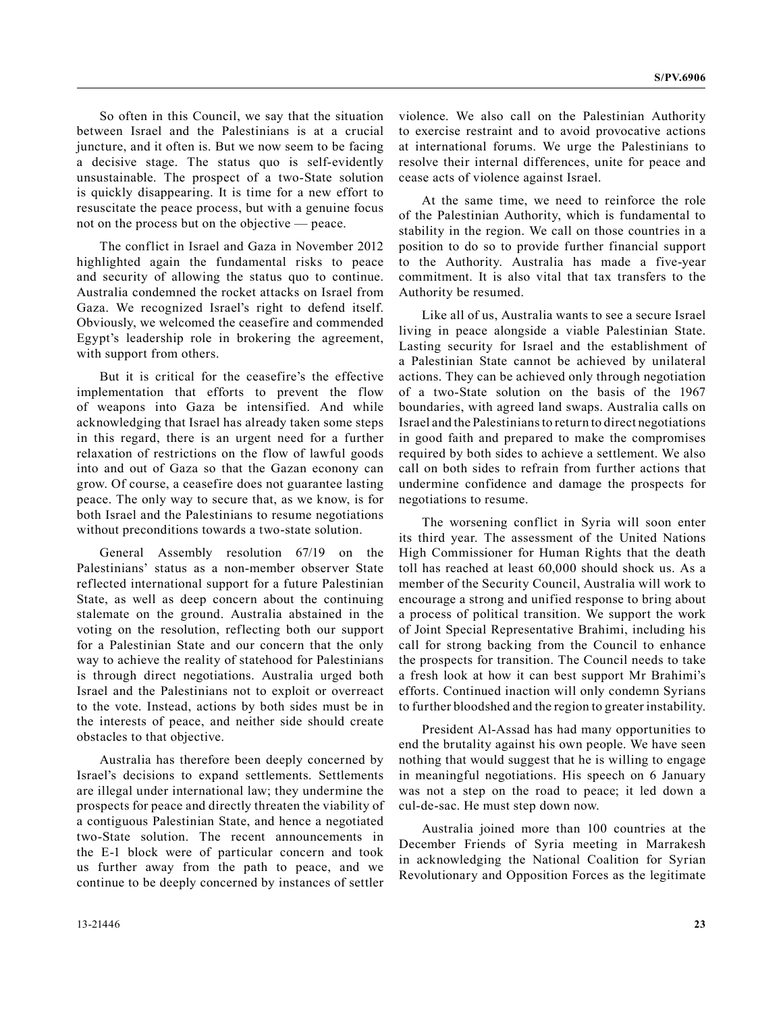So often in this Council, we say that the situation between Israel and the Palestinians is at a crucial juncture, and it often is. But we now seem to be facing a decisive stage. The status quo is self-evidently unsustainable. The prospect of a two-State solution is quickly disappearing. It is time for a new effort to resuscitate the peace process, but with a genuine focus not on the process but on the objective — peace.

The conflict in Israel and Gaza in November 2012 highlighted again the fundamental risks to peace and security of allowing the status quo to continue. Australia condemned the rocket attacks on Israel from Gaza. We recognized Israel's right to defend itself. Obviously, we welcomed the ceasefire and commended Egypt's leadership role in brokering the agreement, with support from others.

But it is critical for the ceasefire's the effective implementation that efforts to prevent the flow of weapons into Gaza be intensified. And while acknowledging that Israel has already taken some steps in this regard, there is an urgent need for a further relaxation of restrictions on the flow of lawful goods into and out of Gaza so that the Gazan econony can grow. Of course, a ceasefire does not guarantee lasting peace. The only way to secure that, as we know, is for both Israel and the Palestinians to resume negotiations without preconditions towards a two-state solution.

General Assembly resolution 67/19 on the Palestinians' status as a non-member observer State reflected international support for a future Palestinian State, as well as deep concern about the continuing stalemate on the ground. Australia abstained in the voting on the resolution, reflecting both our support for a Palestinian State and our concern that the only way to achieve the reality of statehood for Palestinians is through direct negotiations. Australia urged both Israel and the Palestinians not to exploit or overreact to the vote. Instead, actions by both sides must be in the interests of peace, and neither side should create obstacles to that objective.

Australia has therefore been deeply concerned by Israel's decisions to expand settlements. Settlements are illegal under international law; they undermine the prospects for peace and directly threaten the viability of a contiguous Palestinian State, and hence a negotiated two-State solution. The recent announcements in the E-1 block were of particular concern and took us further away from the path to peace, and we continue to be deeply concerned by instances of settler

violence. We also call on the Palestinian Authority to exercise restraint and to avoid provocative actions at international forums. We urge the Palestinians to resolve their internal differences, unite for peace and cease acts of violence against Israel.

At the same time, we need to reinforce the role of the Palestinian Authority, which is fundamental to stability in the region. We call on those countries in a position to do so to provide further financial support to the Authority. Australia has made a five-year commitment. It is also vital that tax transfers to the Authority be resumed.

Like all of us, Australia wants to see a secure Israel living in peace alongside a viable Palestinian State. Lasting security for Israel and the establishment of a Palestinian State cannot be achieved by unilateral actions. They can be achieved only through negotiation of a two-State solution on the basis of the 1967 boundaries, with agreed land swaps. Australia calls on Israel and the Palestinians to return to direct negotiations in good faith and prepared to make the compromises required by both sides to achieve a settlement. We also call on both sides to refrain from further actions that undermine confidence and damage the prospects for negotiations to resume.

The worsening conflict in Syria will soon enter its third year. The assessment of the United Nations High Commissioner for Human Rights that the death toll has reached at least 60,000 should shock us. As a member of the Security Council, Australia will work to encourage a strong and unified response to bring about a process of political transition. We support the work of Joint Special Representative Brahimi, including his call for strong backing from the Council to enhance the prospects for transition. The Council needs to take a fresh look at how it can best support Mr Brahimi's efforts. Continued inaction will only condemn Syrians to further bloodshed and the region to greater instability.

President Al-Assad has had many opportunities to end the brutality against his own people. We have seen nothing that would suggest that he is willing to engage in meaningful negotiations. His speech on 6 January was not a step on the road to peace; it led down a cul-de-sac. He must step down now.

Australia joined more than 100 countries at the December Friends of Syria meeting in Marrakesh in acknowledging the National Coalition for Syrian Revolutionary and Opposition Forces as the legitimate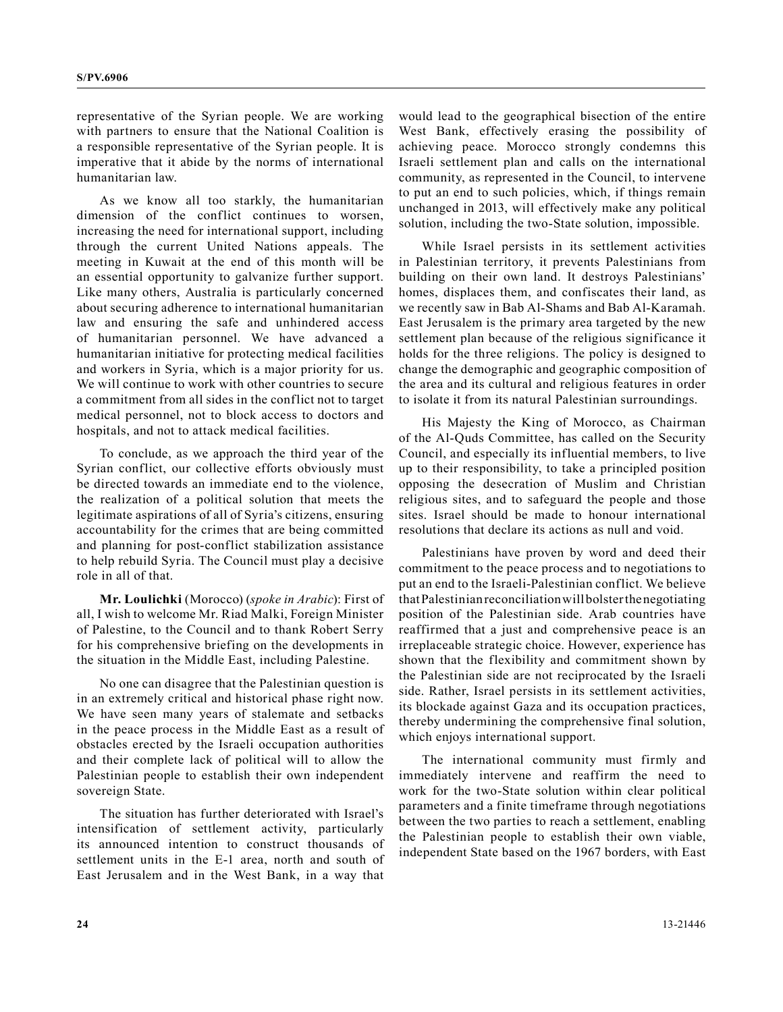representative of the Syrian people. We are working with partners to ensure that the National Coalition is a responsible representative of the Syrian people. It is imperative that it abide by the norms of international humanitarian law.

As we know all too starkly, the humanitarian dimension of the conflict continues to worsen, increasing the need for international support, including through the current United Nations appeals. The meeting in Kuwait at the end of this month will be an essential opportunity to galvanize further support. Like many others, Australia is particularly concerned about securing adherence to international humanitarian law and ensuring the safe and unhindered access of humanitarian personnel. We have advanced a humanitarian initiative for protecting medical facilities and workers in Syria, which is a major priority for us. We will continue to work with other countries to secure a commitment from all sides in the conflict not to target medical personnel, not to block access to doctors and hospitals, and not to attack medical facilities.

To conclude, as we approach the third year of the Syrian conflict, our collective efforts obviously must be directed towards an immediate end to the violence, the realization of a political solution that meets the legitimate aspirations of all of Syria's citizens, ensuring accountability for the crimes that are being committed and planning for post-conflict stabilization assistance to help rebuild Syria. The Council must play a decisive role in all of that.

**Mr. Loulichki** (Morocco) (*spoke in Arabic*): First of all, I wish to welcome Mr. Riad Malki, Foreign Minister of Palestine, to the Council and to thank Robert Serry for his comprehensive briefing on the developments in the situation in the Middle East, including Palestine.

No one can disagree that the Palestinian question is in an extremely critical and historical phase right now. We have seen many years of stalemate and setbacks in the peace process in the Middle East as a result of obstacles erected by the Israeli occupation authorities and their complete lack of political will to allow the Palestinian people to establish their own independent sovereign State.

The situation has further deteriorated with Israel's intensification of settlement activity, particularly its announced intention to construct thousands of settlement units in the E-1 area, north and south of East Jerusalem and in the West Bank, in a way that would lead to the geographical bisection of the entire West Bank, effectively erasing the possibility of achieving peace. Morocco strongly condemns this Israeli settlement plan and calls on the international community, as represented in the Council, to intervene to put an end to such policies, which, if things remain unchanged in 2013, will effectively make any political solution, including the two-State solution, impossible.

While Israel persists in its settlement activities in Palestinian territory, it prevents Palestinians from building on their own land. It destroys Palestinians' homes, displaces them, and confiscates their land, as we recently saw in Bab Al-Shams and Bab Al-Karamah. East Jerusalem is the primary area targeted by the new settlement plan because of the religious significance it holds for the three religions. The policy is designed to change the demographic and geographic composition of the area and its cultural and religious features in order to isolate it from its natural Palestinian surroundings.

His Majesty the King of Morocco, as Chairman of the Al-Quds Committee, has called on the Security Council, and especially its influential members, to live up to their responsibility, to take a principled position opposing the desecration of Muslim and Christian religious sites, and to safeguard the people and those sites. Israel should be made to honour international resolutions that declare its actions as null and void.

Palestinians have proven by word and deed their commitment to the peace process and to negotiations to put an end to the Israeli-Palestinian conflict. We believe that Palestinian reconciliation will bolster the negotiating position of the Palestinian side. Arab countries have reaffirmed that a just and comprehensive peace is an irreplaceable strategic choice. However, experience has shown that the flexibility and commitment shown by the Palestinian side are not reciprocated by the Israeli side. Rather, Israel persists in its settlement activities, its blockade against Gaza and its occupation practices, thereby undermining the comprehensive final solution, which enjoys international support.

The international community must firmly and immediately intervene and reaffirm the need to work for the two-State solution within clear political parameters and a finite timeframe through negotiations between the two parties to reach a settlement, enabling the Palestinian people to establish their own viable, independent State based on the 1967 borders, with East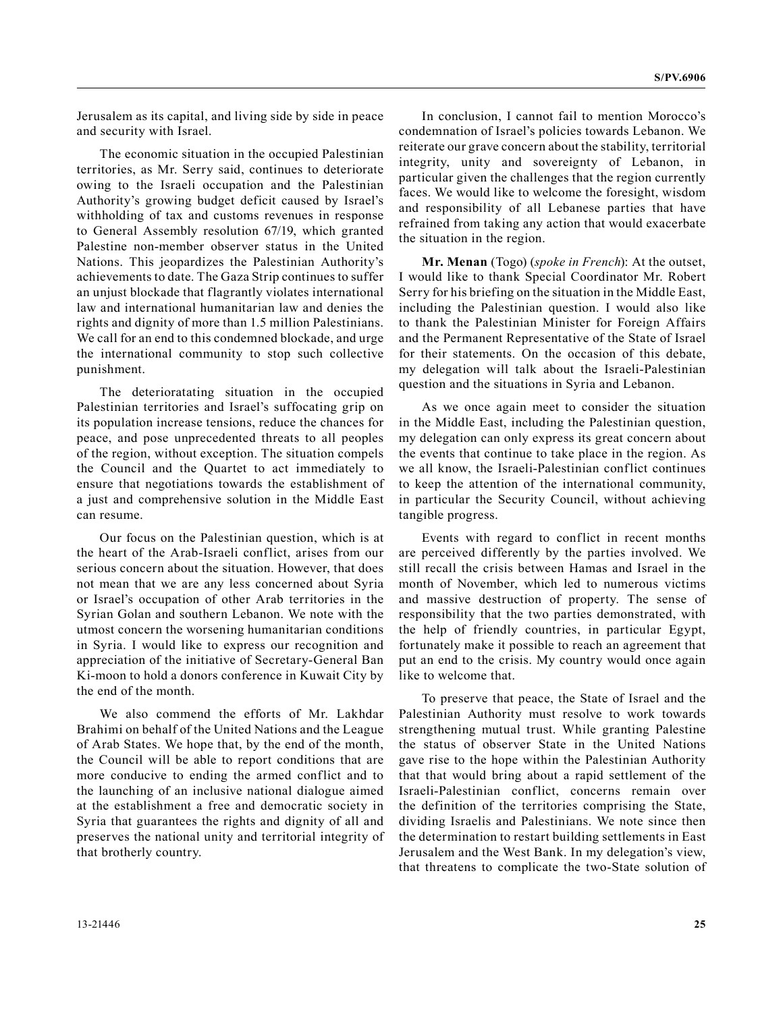Jerusalem as its capital, and living side by side in peace and security with Israel.

The economic situation in the occupied Palestinian territories, as Mr. Serry said, continues to deteriorate owing to the Israeli occupation and the Palestinian Authority's growing budget deficit caused by Israel's withholding of tax and customs revenues in response to General Assembly resolution 67/19, which granted Palestine non-member observer status in the United Nations. This jeopardizes the Palestinian Authority's achievements to date. The Gaza Strip continues to suffer an unjust blockade that flagrantly violates international law and international humanitarian law and denies the rights and dignity of more than 1.5 million Palestinians. We call for an end to this condemned blockade, and urge the international community to stop such collective punishment.

The deterioratating situation in the occupied Palestinian territories and Israel's suffocating grip on its population increase tensions, reduce the chances for peace, and pose unprecedented threats to all peoples of the region, without exception. The situation compels the Council and the Quartet to act immediately to ensure that negotiations towards the establishment of a just and comprehensive solution in the Middle East can resume.

Our focus on the Palestinian question, which is at the heart of the Arab-Israeli conflict, arises from our serious concern about the situation. However, that does not mean that we are any less concerned about Syria or Israel's occupation of other Arab territories in the Syrian Golan and southern Lebanon. We note with the utmost concern the worsening humanitarian conditions in Syria. I would like to express our recognition and appreciation of the initiative of Secretary-General Ban Ki-moon to hold a donors conference in Kuwait City by the end of the month.

We also commend the efforts of Mr. Lakhdar Brahimi on behalf of the United Nations and the League of Arab States. We hope that, by the end of the month, the Council will be able to report conditions that are more conducive to ending the armed conflict and to the launching of an inclusive national dialogue aimed at the establishment a free and democratic society in Syria that guarantees the rights and dignity of all and preserves the national unity and territorial integrity of that brotherly country.

In conclusion, I cannot fail to mention Morocco's condemnation of Israel's policies towards Lebanon. We reiterate our grave concern about the stability, territorial integrity, unity and sovereignty of Lebanon, in particular given the challenges that the region currently faces. We would like to welcome the foresight, wisdom and responsibility of all Lebanese parties that have refrained from taking any action that would exacerbate the situation in the region.

**Mr. Menan** (Togo) (*spoke in French*): At the outset, I would like to thank Special Coordinator Mr. Robert Serry for his briefing on the situation in the Middle East, including the Palestinian question. I would also like to thank the Palestinian Minister for Foreign Affairs and the Permanent Representative of the State of Israel for their statements. On the occasion of this debate, my delegation will talk about the Israeli-Palestinian question and the situations in Syria and Lebanon.

As we once again meet to consider the situation in the Middle East, including the Palestinian question, my delegation can only express its great concern about the events that continue to take place in the region. As we all know, the Israeli-Palestinian conflict continues to keep the attention of the international community, in particular the Security Council, without achieving tangible progress.

Events with regard to conflict in recent months are perceived differently by the parties involved. We still recall the crisis between Hamas and Israel in the month of November, which led to numerous victims and massive destruction of property. The sense of responsibility that the two parties demonstrated, with the help of friendly countries, in particular Egypt, fortunately make it possible to reach an agreement that put an end to the crisis. My country would once again like to welcome that.

To preserve that peace, the State of Israel and the Palestinian Authority must resolve to work towards strengthening mutual trust. While granting Palestine the status of observer State in the United Nations gave rise to the hope within the Palestinian Authority that that would bring about a rapid settlement of the Israeli-Palestinian conflict, concerns remain over the definition of the territories comprising the State, dividing Israelis and Palestinians. We note since then the determination to restart building settlements in East Jerusalem and the West Bank. In my delegation's view, that threatens to complicate the two-State solution of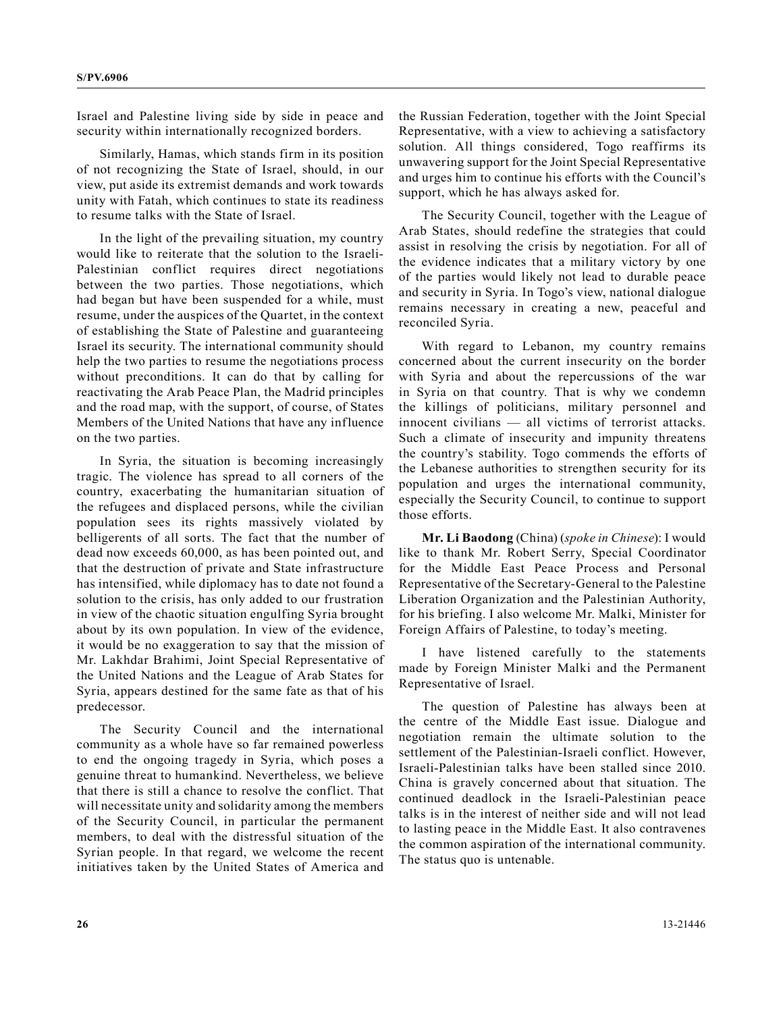Israel and Palestine living side by side in peace and security within internationally recognized borders.

Similarly, Hamas, which stands firm in its position of not recognizing the State of Israel, should, in our view, put aside its extremist demands and work towards unity with Fatah, which continues to state its readiness to resume talks with the State of Israel.

In the light of the prevailing situation, my country would like to reiterate that the solution to the Israeli-Palestinian conflict requires direct negotiations between the two parties. Those negotiations, which had began but have been suspended for a while, must resume, under the auspices of the Quartet, in the context of establishing the State of Palestine and guaranteeing Israel its security. The international community should help the two parties to resume the negotiations process without preconditions. It can do that by calling for reactivating the Arab Peace Plan, the Madrid principles and the road map, with the support, of course, of States Members of the United Nations that have any influence on the two parties.

In Syria, the situation is becoming increasingly tragic. The violence has spread to all corners of the country, exacerbating the humanitarian situation of the refugees and displaced persons, while the civilian population sees its rights massively violated by belligerents of all sorts. The fact that the number of dead now exceeds 60,000, as has been pointed out, and that the destruction of private and State infrastructure has intensified, while diplomacy has to date not found a solution to the crisis, has only added to our frustration in view of the chaotic situation engulfing Syria brought about by its own population. In view of the evidence, it would be no exaggeration to say that the mission of Mr. Lakhdar Brahimi, Joint Special Representative of the United Nations and the League of Arab States for Syria, appears destined for the same fate as that of his predecessor.

The Security Council and the international community as a whole have so far remained powerless to end the ongoing tragedy in Syria, which poses a genuine threat to humankind. Nevertheless, we believe that there is still a chance to resolve the conflict. That will necessitate unity and solidarity among the members of the Security Council, in particular the permanent members, to deal with the distressful situation of the Syrian people. In that regard, we welcome the recent initiatives taken by the United States of America and

the Russian Federation, together with the Joint Special Representative, with a view to achieving a satisfactory solution. All things considered, Togo reaffirms its unwavering support for the Joint Special Representative and urges him to continue his efforts with the Council's support, which he has always asked for.

The Security Council, together with the League of Arab States, should redefine the strategies that could assist in resolving the crisis by negotiation. For all of the evidence indicates that a military victory by one of the parties would likely not lead to durable peace and security in Syria. In Togo's view, national dialogue remains necessary in creating a new, peaceful and reconciled Syria.

With regard to Lebanon, my country remains concerned about the current insecurity on the border with Syria and about the repercussions of the war in Syria on that country. That is why we condemn the killings of politicians, military personnel and innocent civilians — all victims of terrorist attacks. Such a climate of insecurity and impunity threatens the country's stability. Togo commends the efforts of the Lebanese authorities to strengthen security for its population and urges the international community, especially the Security Council, to continue to support those efforts.

**Mr. Li Baodong** (China) (*spoke in Chinese*): I would like to thank Mr. Robert Serry, Special Coordinator for the Middle East Peace Process and Personal Representative of the Secretary-General to the Palestine Liberation Organization and the Palestinian Authority, for his briefing. I also welcome Mr. Malki, Minister for Foreign Affairs of Palestine, to today's meeting.

I have listened carefully to the statements made by Foreign Minister Malki and the Permanent Representative of Israel.

The question of Palestine has always been at the centre of the Middle East issue. Dialogue and negotiation remain the ultimate solution to the settlement of the Palestinian-Israeli conflict. However, Israeli-Palestinian talks have been stalled since 2010. China is gravely concerned about that situation. The continued deadlock in the Israeli-Palestinian peace talks is in the interest of neither side and will not lead to lasting peace in the Middle East. It also contravenes the common aspiration of the international community. The status quo is untenable.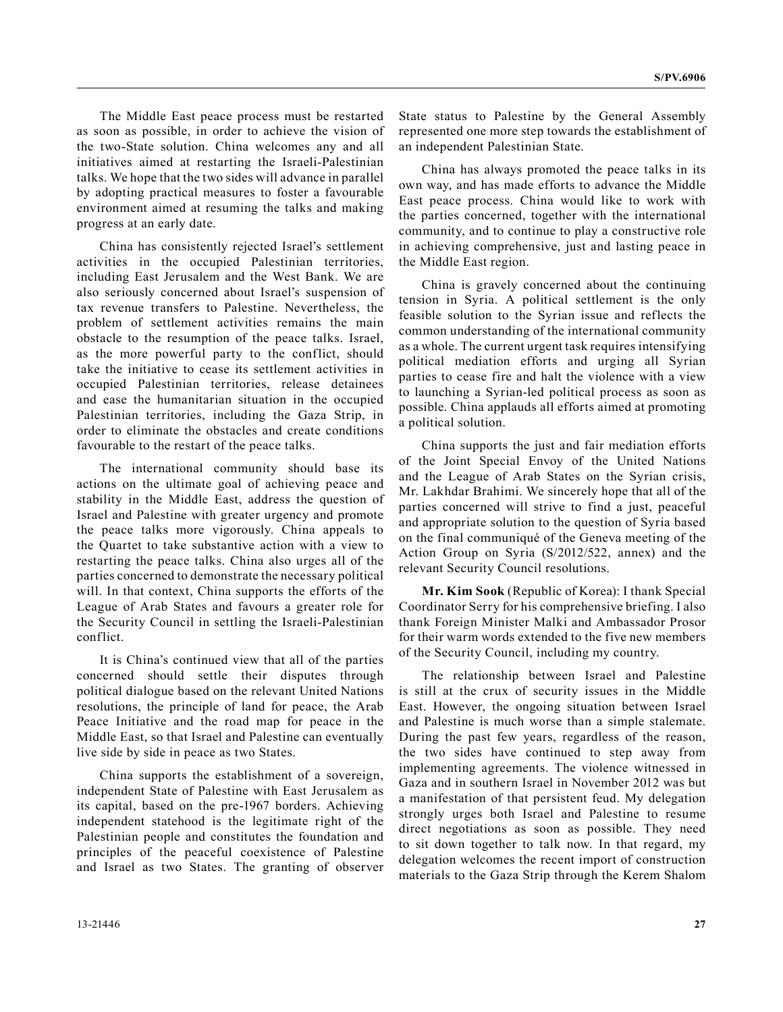The Middle East peace process must be restarted as soon as possible, in order to achieve the vision of the two-State solution. China welcomes any and all initiatives aimed at restarting the Israeli-Palestinian talks. We hope that the two sides will advance in parallel by adopting practical measures to foster a favourable environment aimed at resuming the talks and making progress at an early date.

China has consistently rejected Israel's settlement activities in the occupied Palestinian territories, including East Jerusalem and the West Bank. We are also seriously concerned about Israel's suspension of tax revenue transfers to Palestine. Nevertheless, the problem of settlement activities remains the main obstacle to the resumption of the peace talks. Israel, as the more powerful party to the conflict, should take the initiative to cease its settlement activities in occupied Palestinian territories, release detainees and ease the humanitarian situation in the occupied Palestinian territories, including the Gaza Strip, in order to eliminate the obstacles and create conditions favourable to the restart of the peace talks.

The international community should base its actions on the ultimate goal of achieving peace and stability in the Middle East, address the question of Israel and Palestine with greater urgency and promote the peace talks more vigorously. China appeals to the Quartet to take substantive action with a view to restarting the peace talks. China also urges all of the parties concerned to demonstrate the necessary political will. In that context, China supports the efforts of the League of Arab States and favours a greater role for the Security Council in settling the Israeli-Palestinian conflict.

It is China's continued view that all of the parties concerned should settle their disputes through political dialogue based on the relevant United Nations resolutions, the principle of land for peace, the Arab Peace Initiative and the road map for peace in the Middle East, so that Israel and Palestine can eventually live side by side in peace as two States.

China supports the establishment of a sovereign, independent State of Palestine with East Jerusalem as its capital, based on the pre-1967 borders. Achieving independent statehood is the legitimate right of the Palestinian people and constitutes the foundation and principles of the peaceful coexistence of Palestine and Israel as two States. The granting of observer State status to Palestine by the General Assembly represented one more step towards the establishment of an independent Palestinian State.

China has always promoted the peace talks in its own way, and has made efforts to advance the Middle East peace process. China would like to work with the parties concerned, together with the international community, and to continue to play a constructive role in achieving comprehensive, just and lasting peace in the Middle East region.

China is gravely concerned about the continuing tension in Syria. A political settlement is the only feasible solution to the Syrian issue and reflects the common understanding of the international community as a whole. The current urgent task requires intensifying political mediation efforts and urging all Syrian parties to cease fire and halt the violence with a view to launching a Syrian-led political process as soon as possible. China applauds all efforts aimed at promoting a political solution.

China supports the just and fair mediation efforts of the Joint Special Envoy of the United Nations and the League of Arab States on the Syrian crisis, Mr. Lakhdar Brahimi. We sincerely hope that all of the parties concerned will strive to find a just, peaceful and appropriate solution to the question of Syria based on the final communiqué of the Geneva meeting of the Action Group on Syria (S/2012/522, annex) and the relevant Security Council resolutions.

**Mr. Kim Sook** (Republic of Korea): I thank Special Coordinator Serry for his comprehensive briefing. I also thank Foreign Minister Malki and Ambassador Prosor for their warm words extended to the five new members of the Security Council, including my country.

The relationship between Israel and Palestine is still at the crux of security issues in the Middle East. However, the ongoing situation between Israel and Palestine is much worse than a simple stalemate. During the past few years, regardless of the reason, the two sides have continued to step away from implementing agreements. The violence witnessed in Gaza and in southern Israel in November 2012 was but a manifestation of that persistent feud. My delegation strongly urges both Israel and Palestine to resume direct negotiations as soon as possible. They need to sit down together to talk now. In that regard, my delegation welcomes the recent import of construction materials to the Gaza Strip through the Kerem Shalom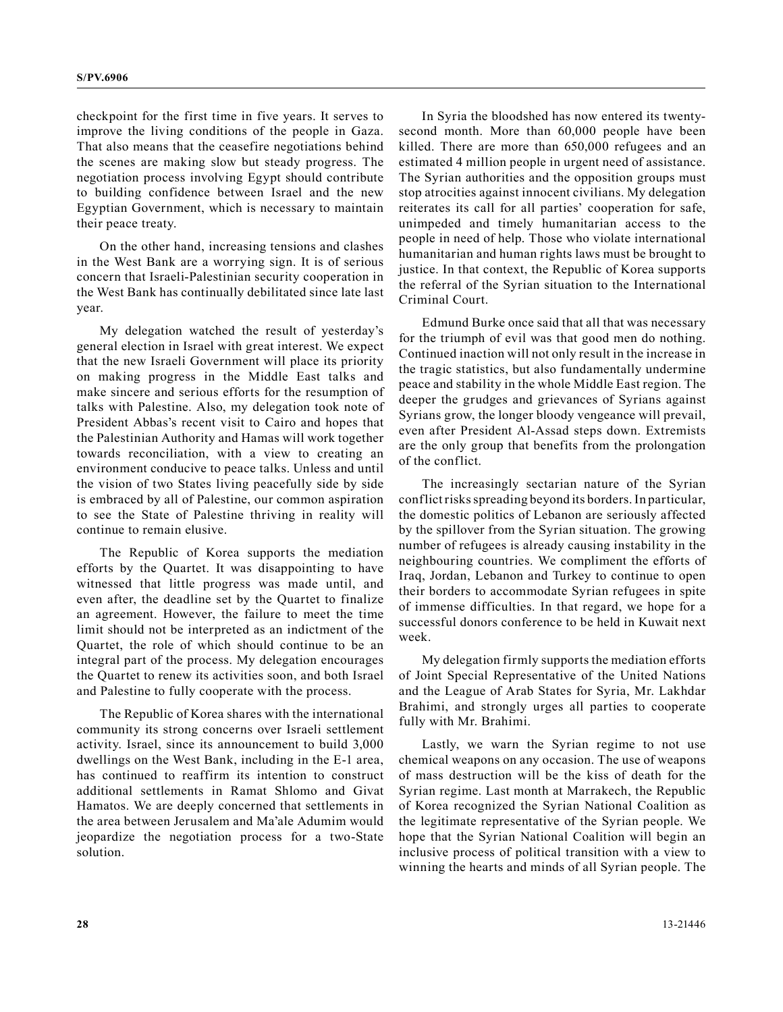checkpoint for the first time in five years. It serves to improve the living conditions of the people in Gaza. That also means that the ceasefire negotiations behind the scenes are making slow but steady progress. The negotiation process involving Egypt should contribute to building confidence between Israel and the new Egyptian Government, which is necessary to maintain their peace treaty.

On the other hand, increasing tensions and clashes in the West Bank are a worrying sign. It is of serious concern that Israeli-Palestinian security cooperation in the West Bank has continually debilitated since late last year.

My delegation watched the result of yesterday's general election in Israel with great interest. We expect that the new Israeli Government will place its priority on making progress in the Middle East talks and make sincere and serious efforts for the resumption of talks with Palestine. Also, my delegation took note of President Abbas's recent visit to Cairo and hopes that the Palestinian Authority and Hamas will work together towards reconciliation, with a view to creating an environment conducive to peace talks. Unless and until the vision of two States living peacefully side by side is embraced by all of Palestine, our common aspiration to see the State of Palestine thriving in reality will continue to remain elusive.

The Republic of Korea supports the mediation efforts by the Quartet. It was disappointing to have witnessed that little progress was made until, and even after, the deadline set by the Quartet to finalize an agreement. However, the failure to meet the time limit should not be interpreted as an indictment of the Quartet, the role of which should continue to be an integral part of the process. My delegation encourages the Quartet to renew its activities soon, and both Israel and Palestine to fully cooperate with the process.

The Republic of Korea shares with the international community its strong concerns over Israeli settlement activity. Israel, since its announcement to build 3,000 dwellings on the West Bank, including in the E-1 area, has continued to reaffirm its intention to construct additional settlements in Ramat Shlomo and Givat Hamatos. We are deeply concerned that settlements in the area between Jerusalem and Ma'ale Adumim would jeopardize the negotiation process for a two-State solution.

In Syria the bloodshed has now entered its twentysecond month. More than 60,000 people have been killed. There are more than 650,000 refugees and an estimated 4 million people in urgent need of assistance. The Syrian authorities and the opposition groups must stop atrocities against innocent civilians. My delegation reiterates its call for all parties' cooperation for safe, unimpeded and timely humanitarian access to the people in need of help. Those who violate international humanitarian and human rights laws must be brought to justice. In that context, the Republic of Korea supports the referral of the Syrian situation to the International Criminal Court.

Edmund Burke once said that all that was necessary for the triumph of evil was that good men do nothing. Continued inaction will not only result in the increase in the tragic statistics, but also fundamentally undermine peace and stability in the whole Middle East region. The deeper the grudges and grievances of Syrians against Syrians grow, the longer bloody vengeance will prevail, even after President Al-Assad steps down. Extremists are the only group that benefits from the prolongation of the conflict.

The increasingly sectarian nature of the Syrian conflict risks spreading beyond its borders. In particular, the domestic politics of Lebanon are seriously affected by the spillover from the Syrian situation. The growing number of refugees is already causing instability in the neighbouring countries. We compliment the efforts of Iraq, Jordan, Lebanon and Turkey to continue to open their borders to accommodate Syrian refugees in spite of immense difficulties. In that regard, we hope for a successful donors conference to be held in Kuwait next week.

My delegation firmly supports the mediation efforts of Joint Special Representative of the United Nations and the League of Arab States for Syria, Mr. Lakhdar Brahimi, and strongly urges all parties to cooperate fully with Mr. Brahimi.

Lastly, we warn the Syrian regime to not use chemical weapons on any occasion. The use of weapons of mass destruction will be the kiss of death for the Syrian regime. Last month at Marrakech, the Republic of Korea recognized the Syrian National Coalition as the legitimate representative of the Syrian people. We hope that the Syrian National Coalition will begin an inclusive process of political transition with a view to winning the hearts and minds of all Syrian people. The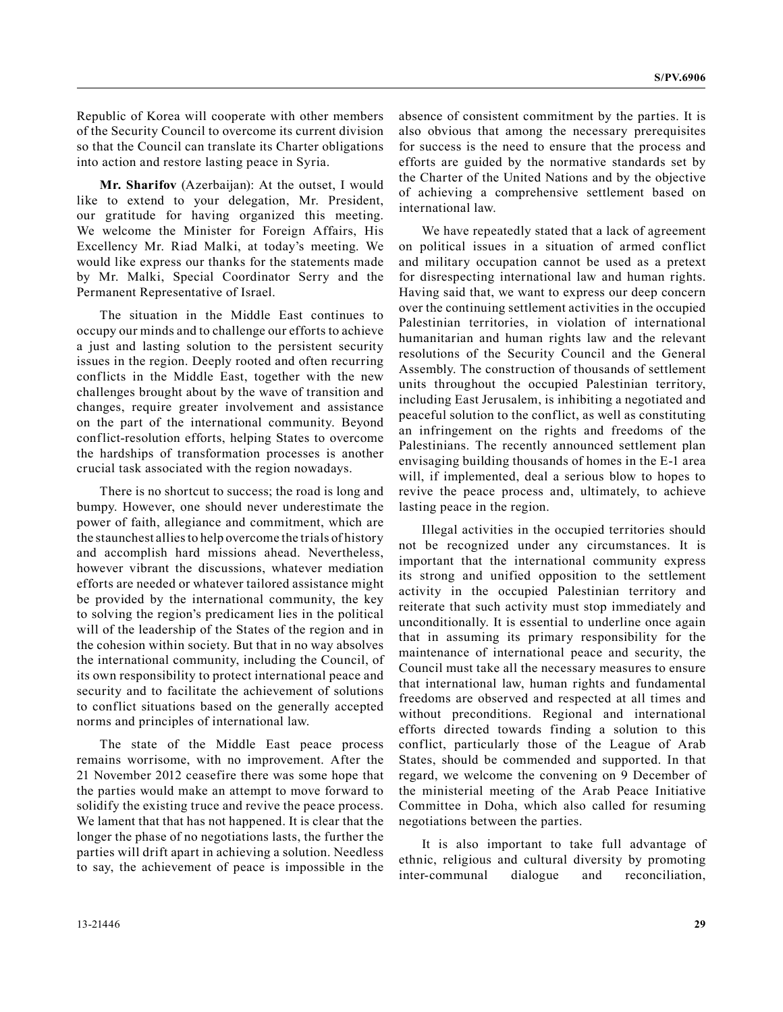Republic of Korea will cooperate with other members of the Security Council to overcome its current division so that the Council can translate its Charter obligations into action and restore lasting peace in Syria.

**Mr. Sharifov** (Azerbaijan): At the outset, I would like to extend to your delegation, Mr. President, our gratitude for having organized this meeting. We welcome the Minister for Foreign Affairs, His Excellency Mr. Riad Malki, at today's meeting. We would like express our thanks for the statements made by Mr. Malki, Special Coordinator Serry and the Permanent Representative of Israel.

The situation in the Middle East continues to occupy our minds and to challenge our efforts to achieve a just and lasting solution to the persistent security issues in the region. Deeply rooted and often recurring conflicts in the Middle East, together with the new challenges brought about by the wave of transition and changes, require greater involvement and assistance on the part of the international community. Beyond conflict-resolution efforts, helping States to overcome the hardships of transformation processes is another crucial task associated with the region nowadays.

There is no shortcut to success; the road is long and bumpy. However, one should never underestimate the power of faith, allegiance and commitment, which are the staunchest allies to help overcome the trials of history and accomplish hard missions ahead. Nevertheless, however vibrant the discussions, whatever mediation efforts are needed or whatever tailored assistance might be provided by the international community, the key to solving the region's predicament lies in the political will of the leadership of the States of the region and in the cohesion within society. But that in no way absolves the international community, including the Council, of its own responsibility to protect international peace and security and to facilitate the achievement of solutions to conflict situations based on the generally accepted norms and principles of international law.

The state of the Middle East peace process remains worrisome, with no improvement. After the 21 November 2012 ceasefire there was some hope that the parties would make an attempt to move forward to solidify the existing truce and revive the peace process. We lament that that has not happened. It is clear that the longer the phase of no negotiations lasts, the further the parties will drift apart in achieving a solution. Needless to say, the achievement of peace is impossible in the absence of consistent commitment by the parties. It is also obvious that among the necessary prerequisites for success is the need to ensure that the process and efforts are guided by the normative standards set by the Charter of the United Nations and by the objective of achieving a comprehensive settlement based on international law.

We have repeatedly stated that a lack of agreement on political issues in a situation of armed conflict and military occupation cannot be used as a pretext for disrespecting international law and human rights. Having said that, we want to express our deep concern over the continuing settlement activities in the occupied Palestinian territories, in violation of international humanitarian and human rights law and the relevant resolutions of the Security Council and the General Assembly. The construction of thousands of settlement units throughout the occupied Palestinian territory, including East Jerusalem, is inhibiting a negotiated and peaceful solution to the conflict, as well as constituting an infringement on the rights and freedoms of the Palestinians. The recently announced settlement plan envisaging building thousands of homes in the E-1 area will, if implemented, deal a serious blow to hopes to revive the peace process and, ultimately, to achieve lasting peace in the region.

Illegal activities in the occupied territories should not be recognized under any circumstances. It is important that the international community express its strong and unified opposition to the settlement activity in the occupied Palestinian territory and reiterate that such activity must stop immediately and unconditionally. It is essential to underline once again that in assuming its primary responsibility for the maintenance of international peace and security, the Council must take all the necessary measures to ensure that international law, human rights and fundamental freedoms are observed and respected at all times and without preconditions. Regional and international efforts directed towards finding a solution to this conflict, particularly those of the League of Arab States, should be commended and supported. In that regard, we welcome the convening on 9 December of the ministerial meeting of the Arab Peace Initiative Committee in Doha, which also called for resuming negotiations between the parties.

It is also important to take full advantage of ethnic, religious and cultural diversity by promoting inter-communal dialogue and reconciliation,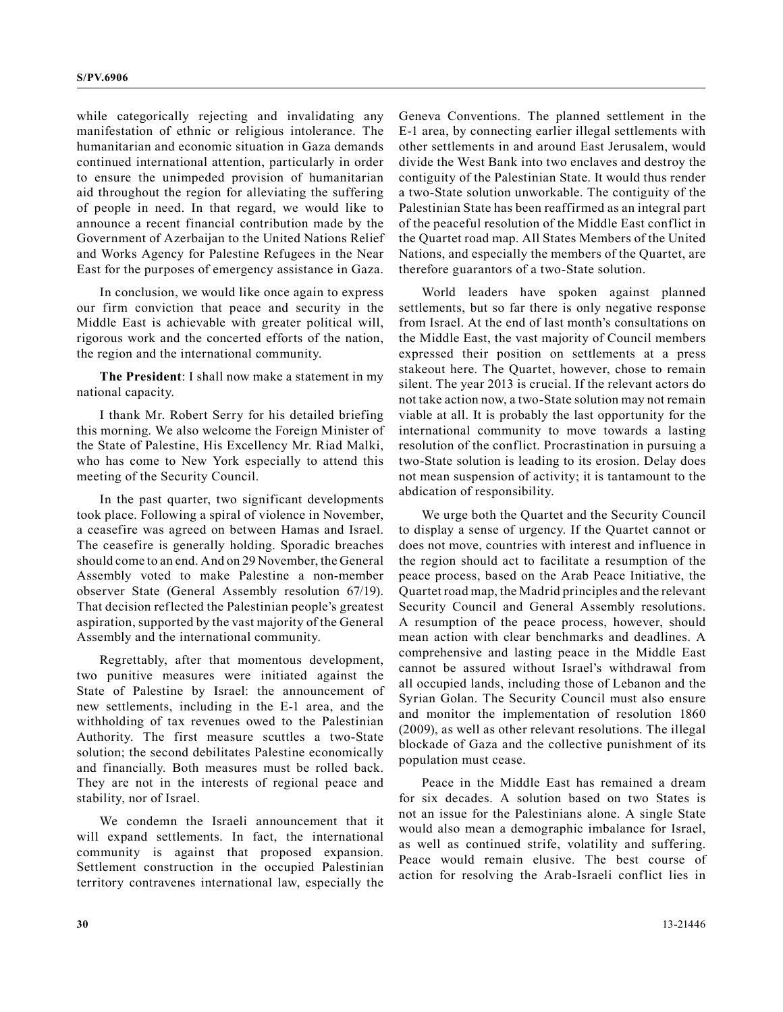while categorically rejecting and invalidating any manifestation of ethnic or religious intolerance. The humanitarian and economic situation in Gaza demands continued international attention, particularly in order to ensure the unimpeded provision of humanitarian aid throughout the region for alleviating the suffering of people in need. In that regard, we would like to announce a recent financial contribution made by the Government of Azerbaijan to the United Nations Relief and Works Agency for Palestine Refugees in the Near East for the purposes of emergency assistance in Gaza.

In conclusion, we would like once again to express our firm conviction that peace and security in the Middle East is achievable with greater political will, rigorous work and the concerted efforts of the nation, the region and the international community.

**The President**: I shall now make a statement in my national capacity.

I thank Mr. Robert Serry for his detailed briefing this morning. We also welcome the Foreign Minister of the State of Palestine, His Excellency Mr. Riad Malki, who has come to New York especially to attend this meeting of the Security Council.

In the past quarter, two significant developments took place. Following a spiral of violence in November, a ceasefire was agreed on between Hamas and Israel. The ceasefire is generally holding. Sporadic breaches should come to an end. And on 29 November, the General Assembly voted to make Palestine a non-member observer State (General Assembly resolution 67/19). That decision reflected the Palestinian people's greatest aspiration, supported by the vast majority of the General Assembly and the international community.

Regrettably, after that momentous development, two punitive measures were initiated against the State of Palestine by Israel: the announcement of new settlements, including in the E-1 area, and the withholding of tax revenues owed to the Palestinian Authority. The first measure scuttles a two-State solution; the second debilitates Palestine economically and financially. Both measures must be rolled back. They are not in the interests of regional peace and stability, nor of Israel.

We condemn the Israeli announcement that it will expand settlements. In fact, the international community is against that proposed expansion. Settlement construction in the occupied Palestinian territory contravenes international law, especially the

Geneva Conventions. The planned settlement in the E-1 area, by connecting earlier illegal settlements with other settlements in and around East Jerusalem, would divide the West Bank into two enclaves and destroy the contiguity of the Palestinian State. It would thus render a two-State solution unworkable. The contiguity of the Palestinian State has been reaffirmed as an integral part of the peaceful resolution of the Middle East conflict in the Quartet road map. All States Members of the United Nations, and especially the members of the Quartet, are therefore guarantors of a two-State solution.

World leaders have spoken against planned settlements, but so far there is only negative response from Israel. At the end of last month's consultations on the Middle East, the vast majority of Council members expressed their position on settlements at a press stakeout here. The Quartet, however, chose to remain silent. The year 2013 is crucial. If the relevant actors do not take action now, a two-State solution may not remain viable at all. It is probably the last opportunity for the international community to move towards a lasting resolution of the conflict. Procrastination in pursuing a two-State solution is leading to its erosion. Delay does not mean suspension of activity; it is tantamount to the abdication of responsibility.

We urge both the Quartet and the Security Council to display a sense of urgency. If the Quartet cannot or does not move, countries with interest and influence in the region should act to facilitate a resumption of the peace process, based on the Arab Peace Initiative, the Quartet road map, the Madrid principles and the relevant Security Council and General Assembly resolutions. A resumption of the peace process, however, should mean action with clear benchmarks and deadlines. A comprehensive and lasting peace in the Middle East cannot be assured without Israel's withdrawal from all occupied lands, including those of Lebanon and the Syrian Golan. The Security Council must also ensure and monitor the implementation of resolution 1860 (2009), as well as other relevant resolutions. The illegal blockade of Gaza and the collective punishment of its population must cease.

Peace in the Middle East has remained a dream for six decades. A solution based on two States is not an issue for the Palestinians alone. A single State would also mean a demographic imbalance for Israel, as well as continued strife, volatility and suffering. Peace would remain elusive. The best course of action for resolving the Arab-Israeli conflict lies in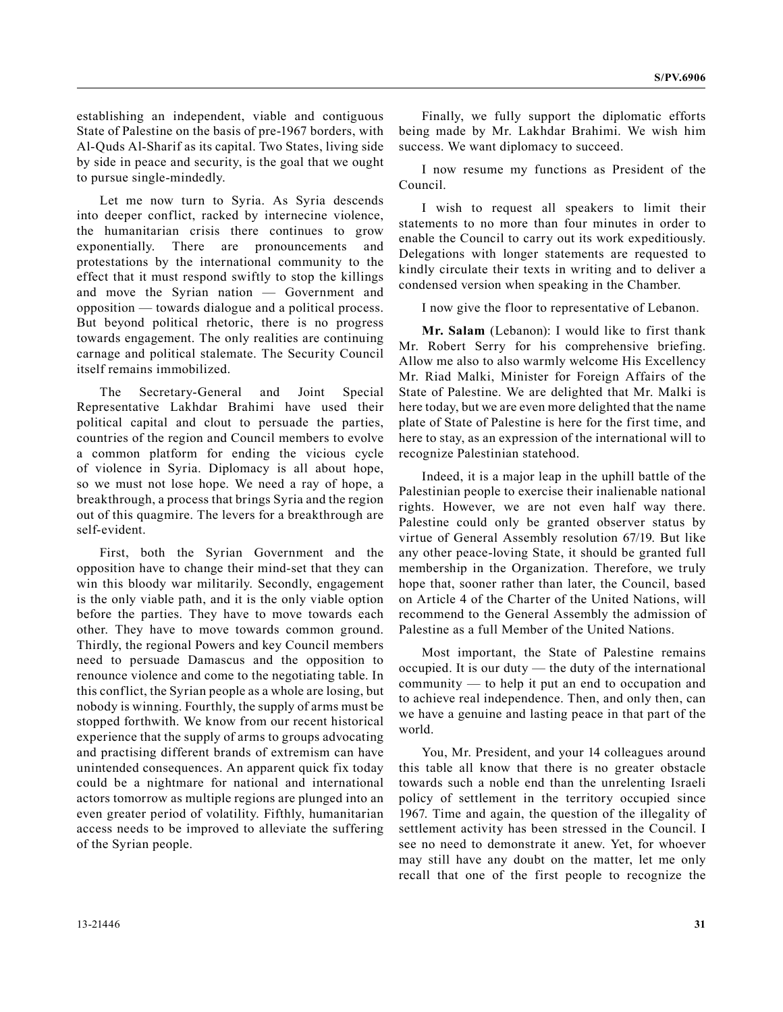establishing an independent, viable and contiguous State of Palestine on the basis of pre-1967 borders, with Al-Quds Al-Sharif as its capital. Two States, living side by side in peace and security, is the goal that we ought to pursue single-mindedly.

Let me now turn to Syria. As Syria descends into deeper conflict, racked by internecine violence, the humanitarian crisis there continues to grow exponentially. There are pronouncements and protestations by the international community to the effect that it must respond swiftly to stop the killings and move the Syrian nation — Government and opposition — towards dialogue and a political process. But beyond political rhetoric, there is no progress towards engagement. The only realities are continuing carnage and political stalemate. The Security Council itself remains immobilized.

The Secretary-General and Joint Special Representative Lakhdar Brahimi have used their political capital and clout to persuade the parties, countries of the region and Council members to evolve a common platform for ending the vicious cycle of violence in Syria. Diplomacy is all about hope, so we must not lose hope. We need a ray of hope, a breakthrough, a process that brings Syria and the region out of this quagmire. The levers for a breakthrough are self-evident.

First, both the Syrian Government and the opposition have to change their mind-set that they can win this bloody war militarily. Secondly, engagement is the only viable path, and it is the only viable option before the parties. They have to move towards each other. They have to move towards common ground. Thirdly, the regional Powers and key Council members need to persuade Damascus and the opposition to renounce violence and come to the negotiating table. In this conflict, the Syrian people as a whole are losing, but nobody is winning. Fourthly, the supply of arms must be stopped forthwith. We know from our recent historical experience that the supply of arms to groups advocating and practising different brands of extremism can have unintended consequences. An apparent quick fix today could be a nightmare for national and international actors tomorrow as multiple regions are plunged into an even greater period of volatility. Fifthly, humanitarian access needs to be improved to alleviate the suffering of the Syrian people.

Finally, we fully support the diplomatic efforts being made by Mr. Lakhdar Brahimi. We wish him success. We want diplomacy to succeed.

I now resume my functions as President of the Council.

I wish to request all speakers to limit their statements to no more than four minutes in order to enable the Council to carry out its work expeditiously. Delegations with longer statements are requested to kindly circulate their texts in writing and to deliver a condensed version when speaking in the Chamber.

I now give the floor to representative of Lebanon.

**Mr. Salam** (Lebanon): I would like to first thank Mr. Robert Serry for his comprehensive briefing. Allow me also to also warmly welcome His Excellency Mr. Riad Malki, Minister for Foreign Affairs of the State of Palestine. We are delighted that Mr. Malki is here today, but we are even more delighted that the name plate of State of Palestine is here for the first time, and here to stay, as an expression of the international will to recognize Palestinian statehood.

Indeed, it is a major leap in the uphill battle of the Palestinian people to exercise their inalienable national rights. However, we are not even half way there. Palestine could only be granted observer status by virtue of General Assembly resolution 67/19. But like any other peace-loving State, it should be granted full membership in the Organization. Therefore, we truly hope that, sooner rather than later, the Council, based on Article 4 of the Charter of the United Nations, will recommend to the General Assembly the admission of Palestine as a full Member of the United Nations.

Most important, the State of Palestine remains occupied. It is our duty — the duty of the international community — to help it put an end to occupation and to achieve real independence. Then, and only then, can we have a genuine and lasting peace in that part of the world.

You, Mr. President, and your 14 colleagues around this table all know that there is no greater obstacle towards such a noble end than the unrelenting Israeli policy of settlement in the territory occupied since 1967. Time and again, the question of the illegality of settlement activity has been stressed in the Council. I see no need to demonstrate it anew. Yet, for whoever may still have any doubt on the matter, let me only recall that one of the first people to recognize the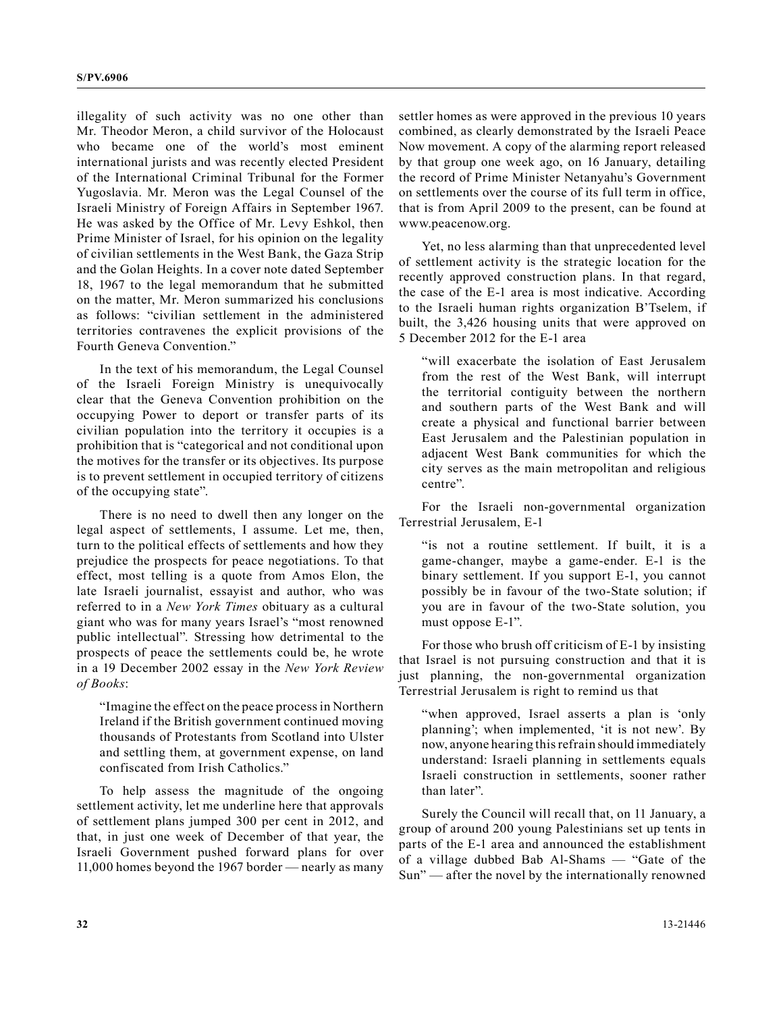illegality of such activity was no one other than Mr. Theodor Meron, a child survivor of the Holocaust who became one of the world's most eminent international jurists and was recently elected President of the International Criminal Tribunal for the Former Yugoslavia. Mr. Meron was the Legal Counsel of the Israeli Ministry of Foreign Affairs in September 1967. He was asked by the Office of Mr. Levy Eshkol, then Prime Minister of Israel, for his opinion on the legality of civilian settlements in the West Bank, the Gaza Strip and the Golan Heights. In a cover note dated September 18, 1967 to the legal memorandum that he submitted on the matter, Mr. Meron summarized his conclusions as follows: "civilian settlement in the administered territories contravenes the explicit provisions of the Fourth Geneva Convention."

In the text of his memorandum, the Legal Counsel of the Israeli Foreign Ministry is unequivocally clear that the Geneva Convention prohibition on the occupying Power to deport or transfer parts of its civilian population into the territory it occupies is a prohibition that is "categorical and not conditional upon the motives for the transfer or its objectives. Its purpose is to prevent settlement in occupied territory of citizens of the occupying state".

There is no need to dwell then any longer on the legal aspect of settlements, I assume. Let me, then, turn to the political effects of settlements and how they prejudice the prospects for peace negotiations. To that effect, most telling is a quote from Amos Elon, the late Israeli journalist, essayist and author, who was referred to in a *New York Times* obituary as a cultural giant who was for many years Israel's "most renowned public intellectual". Stressing how detrimental to the prospects of peace the settlements could be, he wrote in a 19 December 2002 essay in the *New York Review of Books*:

"Imagine the effect on the peace process in Northern Ireland if the British government continued moving thousands of Protestants from Scotland into Ulster and settling them, at government expense, on land confiscated from Irish Catholics."

To help assess the magnitude of the ongoing settlement activity, let me underline here that approvals of settlement plans jumped 300 per cent in 2012, and that, in just one week of December of that year, the Israeli Government pushed forward plans for over 11,000 homes beyond the 1967 border — nearly as many

settler homes as were approved in the previous 10 years combined, as clearly demonstrated by the Israeli Peace Now movement. A copy of the alarming report released by that group one week ago, on 16 January, detailing the record of Prime Minister Netanyahu's Government on settlements over the course of its full term in office, that is from April 2009 to the present, can be found at www.peacenow.org.

Yet, no less alarming than that unprecedented level of settlement activity is the strategic location for the recently approved construction plans. In that regard, the case of the E-1 area is most indicative. According to the Israeli human rights organization B'Tselem, if built, the 3,426 housing units that were approved on 5 December 2012 for the E-1 area

"will exacerbate the isolation of East Jerusalem from the rest of the West Bank, will interrupt the territorial contiguity between the northern and southern parts of the West Bank and will create a physical and functional barrier between East Jerusalem and the Palestinian population in adjacent West Bank communities for which the city serves as the main metropolitan and religious centre".

For the Israeli non-governmental organization Terrestrial Jerusalem, E-1

"is not a routine settlement. If built, it is a game-changer, maybe a game-ender. E-1 is the binary settlement. If you support E-1, you cannot possibly be in favour of the two-State solution; if you are in favour of the two-State solution, you must oppose E-1".

For those who brush off criticism of E-1 by insisting that Israel is not pursuing construction and that it is just planning, the non-governmental organization Terrestrial Jerusalem is right to remind us that

"when approved, Israel asserts a plan is 'only planning'; when implemented, 'it is not new'. By now, anyone hearing this refrain should immediately understand: Israeli planning in settlements equals Israeli construction in settlements, sooner rather than later".

Surely the Council will recall that, on 11 January, a group of around 200 young Palestinians set up tents in parts of the E-1 area and announced the establishment of a village dubbed Bab Al-Shams — "Gate of the Sun" — after the novel by the internationally renowned